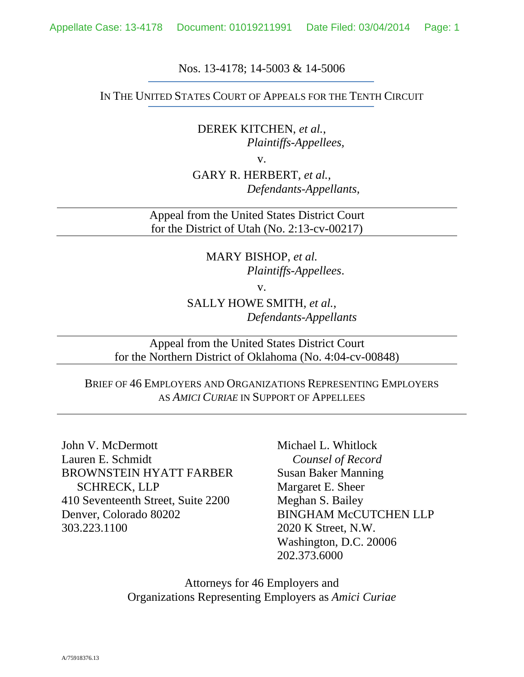#### Nos. 13-4178; 14-5003 & 14-5006

#### IN THE UNITED STATES COURT OF APPEALS FOR THE TENTH CIRCUIT

DEREK KITCHEN, *et al.*, *Plaintiffs-Appellees,* 

v.

GARY R. HERBERT, *et al.*, *Defendants-Appellants,* 

Appeal from the United States District Court for the District of Utah (No. 2:13-cv-00217)

> MARY BISHOP, *et al. Plaintiffs-Appellees*.

> > v.

SALLY HOWE SMITH, *et al.*, *Defendants-Appellants* 

Appeal from the United States District Court for the Northern District of Oklahoma (No. 4:04-cv-00848)

## BRIEF OF 46 EMPLOYERS AND ORGANIZATIONS REPRESENTING EMPLOYERS AS *AMICI CURIAE* IN SUPPORT OF APPELLEES

John V. McDermott Lauren E. Schmidt BROWNSTEIN HYATT FARBER SCHRECK, LLP 410 Seventeenth Street, Suite 2200 Denver, Colorado 80202 303.223.1100

Michael L. Whitlock *Counsel of Record*  Susan Baker Manning Margaret E. Sheer Meghan S. Bailey BINGHAM McCUTCHEN LLP 2020 K Street, N.W. Washington, D.C. 20006 202.373.6000

Attorneys for 46 Employers and Organizations Representing Employers as *Amici Curiae*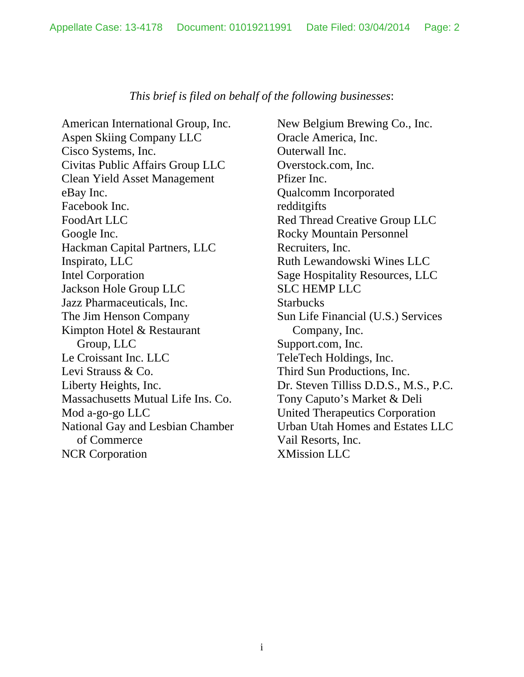### *This brief is filed on behalf of the following businesses*:

American International Group, Inc. Aspen Skiing Company LLC Cisco Systems, Inc. Civitas Public Affairs Group LLC Clean Yield Asset Management eBay Inc. Facebook Inc. FoodArt LLC Google Inc. Hackman Capital Partners, LLC Inspirato, LLC Intel Corporation Jackson Hole Group LLC Jazz Pharmaceuticals, Inc. The Jim Henson Company Kimpton Hotel & Restaurant Group, LLC Le Croissant Inc. LLC Levi Strauss & Co. Liberty Heights, Inc. Massachusetts Mutual Life Ins. Co. Mod a-go-go LLC National Gay and Lesbian Chamber of Commerce NCR Corporation

New Belgium Brewing Co., Inc. Oracle America, Inc. Outerwall Inc. Overstock.com, Inc. Pfizer Inc. Qualcomm Incorporated redditgifts Red Thread Creative Group LLC Rocky Mountain Personnel Recruiters, Inc. Ruth Lewandowski Wines LLC Sage Hospitality Resources, LLC SLC HEMP LLC **Starbucks** Sun Life Financial (U.S.) Services Company, Inc. Support.com, Inc. TeleTech Holdings, Inc. Third Sun Productions, Inc. Dr. Steven Tilliss D.D.S., M.S., P.C. Tony Caputo's Market & Deli United Therapeutics Corporation Urban Utah Homes and Estates LLC Vail Resorts, Inc. XMission LLC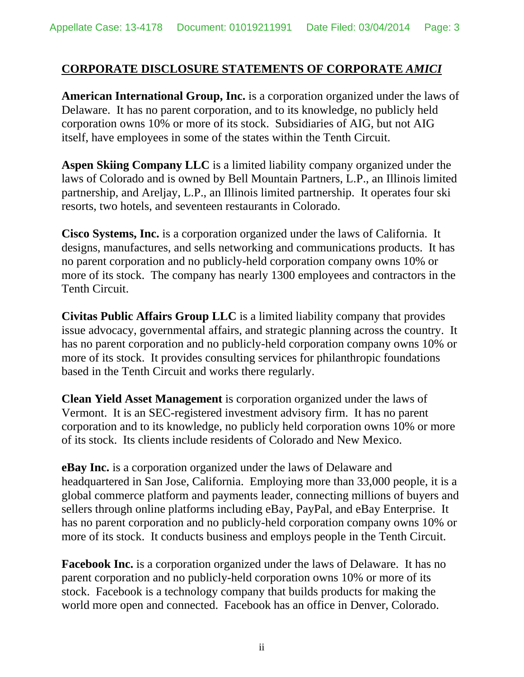# **CORPORATE DISCLOSURE STATEMENTS OF CORPORATE** *AMICI*

**American International Group, Inc.** is a corporation organized under the laws of Delaware. It has no parent corporation, and to its knowledge, no publicly held corporation owns 10% or more of its stock. Subsidiaries of AIG, but not AIG itself, have employees in some of the states within the Tenth Circuit.

**Aspen Skiing Company LLC** is a limited liability company organized under the laws of Colorado and is owned by Bell Mountain Partners, L.P., an Illinois limited partnership, and Areljay, L.P., an Illinois limited partnership. It operates four ski resorts, two hotels, and seventeen restaurants in Colorado.

**Cisco Systems, Inc.** is a corporation organized under the laws of California. It designs, manufactures, and sells networking and communications products. It has no parent corporation and no publicly-held corporation company owns 10% or more of its stock. The company has nearly 1300 employees and contractors in the Tenth Circuit.

**Civitas Public Affairs Group LLC** is a limited liability company that provides issue advocacy, governmental affairs, and strategic planning across the country. It has no parent corporation and no publicly-held corporation company owns 10% or more of its stock. It provides consulting services for philanthropic foundations based in the Tenth Circuit and works there regularly.

**Clean Yield Asset Management** is corporation organized under the laws of Vermont. It is an SEC-registered investment advisory firm. It has no parent corporation and to its knowledge, no publicly held corporation owns 10% or more of its stock. Its clients include residents of Colorado and New Mexico.

**eBay Inc.** is a corporation organized under the laws of Delaware and headquartered in San Jose, California. Employing more than 33,000 people, it is a global commerce platform and payments leader, connecting millions of buyers and sellers through online platforms including eBay, PayPal, and eBay Enterprise. It has no parent corporation and no publicly-held corporation company owns 10% or more of its stock. It conducts business and employs people in the Tenth Circuit.

**Facebook Inc.** is a corporation organized under the laws of Delaware. It has no parent corporation and no publicly-held corporation owns 10% or more of its stock. Facebook is a technology company that builds products for making the world more open and connected. Facebook has an office in Denver, Colorado.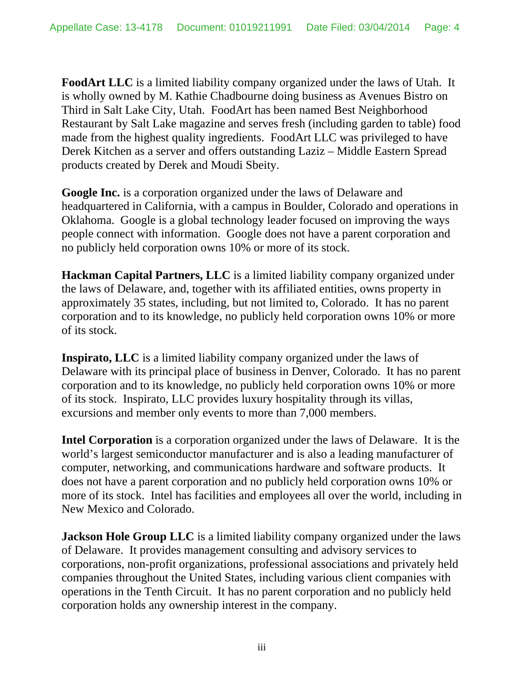**FoodArt LLC** is a limited liability company organized under the laws of Utah. It is wholly owned by M. Kathie Chadbourne doing business as Avenues Bistro on Third in Salt Lake City, Utah. FoodArt has been named Best Neighborhood Restaurant by Salt Lake magazine and serves fresh (including garden to table) food made from the highest quality ingredients. FoodArt LLC was privileged to have Derek Kitchen as a server and offers outstanding Laziz – Middle Eastern Spread products created by Derek and Moudi Sbeity.

**Google Inc.** is a corporation organized under the laws of Delaware and headquartered in California, with a campus in Boulder, Colorado and operations in Oklahoma. Google is a global technology leader focused on improving the ways people connect with information. Google does not have a parent corporation and no publicly held corporation owns 10% or more of its stock.

**Hackman Capital Partners, LLC** is a limited liability company organized under the laws of Delaware, and, together with its affiliated entities, owns property in approximately 35 states, including, but not limited to, Colorado. It has no parent corporation and to its knowledge, no publicly held corporation owns 10% or more of its stock.

**Inspirato, LLC** is a limited liability company organized under the laws of Delaware with its principal place of business in Denver, Colorado. It has no parent corporation and to its knowledge, no publicly held corporation owns 10% or more of its stock. Inspirato, LLC provides luxury hospitality through its villas, excursions and member only events to more than 7,000 members.

**Intel Corporation** is a corporation organized under the laws of Delaware. It is the world's largest semiconductor manufacturer and is also a leading manufacturer of computer, networking, and communications hardware and software products. It does not have a parent corporation and no publicly held corporation owns 10% or more of its stock. Intel has facilities and employees all over the world, including in New Mexico and Colorado.

**Jackson Hole Group LLC** is a limited liability company organized under the laws of Delaware. It provides management consulting and advisory services to corporations, non-profit organizations, professional associations and privately held companies throughout the United States, including various client companies with operations in the Tenth Circuit. It has no parent corporation and no publicly held corporation holds any ownership interest in the company.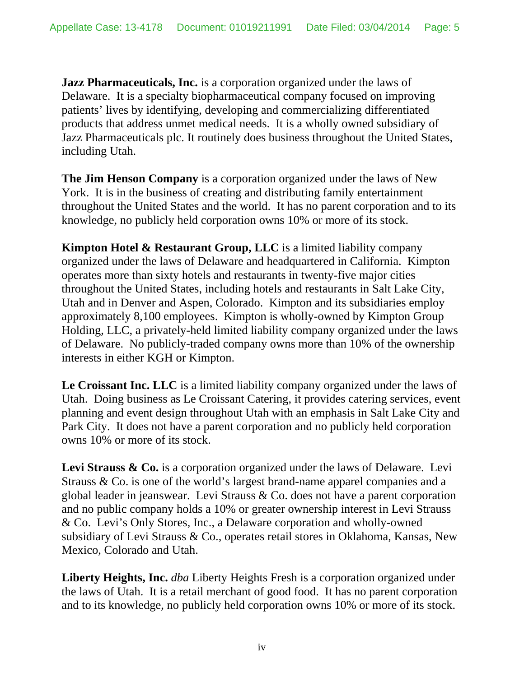**Jazz Pharmaceuticals, Inc.** is a corporation organized under the laws of Delaware. It is a specialty biopharmaceutical company focused on improving patients' lives by identifying, developing and commercializing differentiated products that address unmet medical needs. It is a wholly owned subsidiary of Jazz Pharmaceuticals plc. It routinely does business throughout the United States, including Utah.

**The Jim Henson Company** is a corporation organized under the laws of New York. It is in the business of creating and distributing family entertainment throughout the United States and the world. It has no parent corporation and to its knowledge, no publicly held corporation owns 10% or more of its stock.

**Kimpton Hotel & Restaurant Group, LLC** is a limited liability company organized under the laws of Delaware and headquartered in California. Kimpton operates more than sixty hotels and restaurants in twenty-five major cities throughout the United States, including hotels and restaurants in Salt Lake City, Utah and in Denver and Aspen, Colorado. Kimpton and its subsidiaries employ approximately 8,100 employees. Kimpton is wholly-owned by Kimpton Group Holding, LLC, a privately-held limited liability company organized under the laws of Delaware. No publicly-traded company owns more than 10% of the ownership interests in either KGH or Kimpton.

**Le Croissant Inc. LLC** is a limited liability company organized under the laws of Utah. Doing business as Le Croissant Catering, it provides catering services, event planning and event design throughout Utah with an emphasis in Salt Lake City and Park City. It does not have a parent corporation and no publicly held corporation owns 10% or more of its stock.

Levi Strauss & Co. is a corporation organized under the laws of Delaware. Levi Strauss & Co. is one of the world's largest brand-name apparel companies and a global leader in jeanswear. Levi Strauss & Co. does not have a parent corporation and no public company holds a 10% or greater ownership interest in Levi Strauss & Co. Levi's Only Stores, Inc., a Delaware corporation and wholly-owned subsidiary of Levi Strauss & Co., operates retail stores in Oklahoma, Kansas, New Mexico, Colorado and Utah.

**Liberty Heights, Inc.** *dba* Liberty Heights Fresh is a corporation organized under the laws of Utah. It is a retail merchant of good food. It has no parent corporation and to its knowledge, no publicly held corporation owns 10% or more of its stock.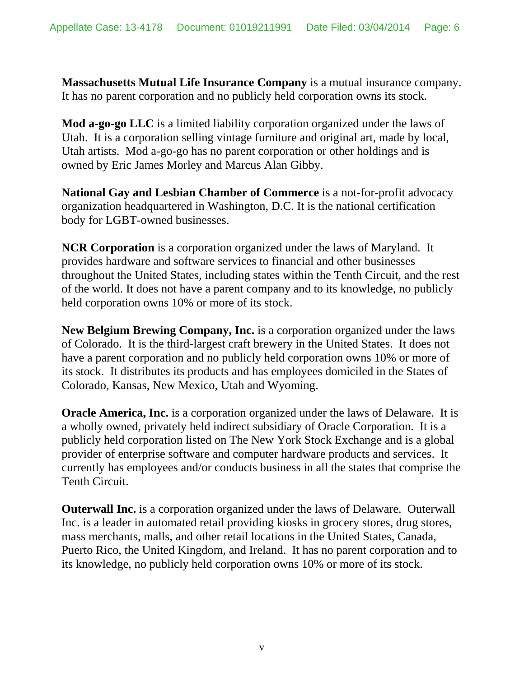**Massachusetts Mutual Life Insurance Company** is a mutual insurance company. It has no parent corporation and no publicly held corporation owns its stock.

**Mod a-go-go LLC** is a limited liability corporation organized under the laws of Utah. It is a corporation selling vintage furniture and original art, made by local, Utah artists. Mod a-go-go has no parent corporation or other holdings and is owned by Eric James Morley and Marcus Alan Gibby.

**National Gay and Lesbian Chamber of Commerce** is a not-for-profit advocacy organization headquartered in Washington, D.C. It is the national certification body for LGBT-owned businesses.

**NCR Corporation** is a corporation organized under the laws of Maryland. It provides hardware and software services to financial and other businesses throughout the United States, including states within the Tenth Circuit, and the rest of the world. It does not have a parent company and to its knowledge, no publicly held corporation owns 10% or more of its stock.

**New Belgium Brewing Company, Inc.** is a corporation organized under the laws of Colorado. It is the third-largest craft brewery in the United States. It does not have a parent corporation and no publicly held corporation owns 10% or more of its stock. It distributes its products and has employees domiciled in the States of Colorado, Kansas, New Mexico, Utah and Wyoming.

**Oracle America, Inc.** is a corporation organized under the laws of Delaware. It is a wholly owned, privately held indirect subsidiary of Oracle Corporation. It is a publicly held corporation listed on The New York Stock Exchange and is a global provider of enterprise software and computer hardware products and services. It currently has employees and/or conducts business in all the states that comprise the Tenth Circuit.

**Outerwall Inc.** is a corporation organized under the laws of Delaware. Outerwall Inc. is a leader in automated retail providing kiosks in grocery stores, drug stores, mass merchants, malls, and other retail locations in the United States, Canada, Puerto Rico, the United Kingdom, and Ireland. It has no parent corporation and to its knowledge, no publicly held corporation owns 10% or more of its stock.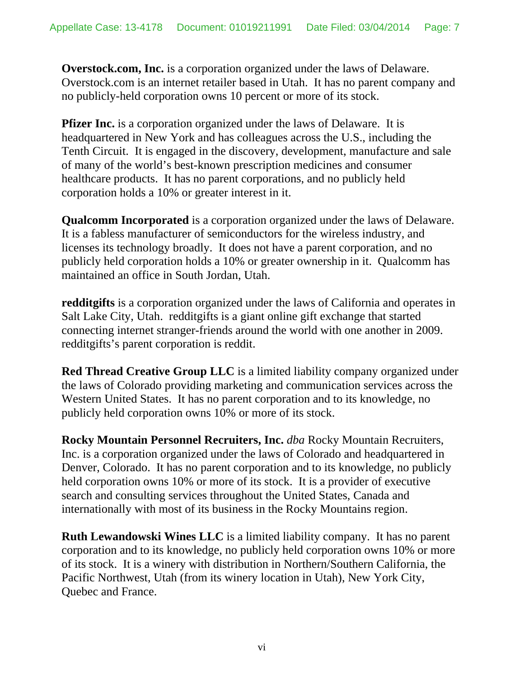**Overstock.com, Inc.** is a corporation organized under the laws of Delaware. Overstock.com is an internet retailer based in Utah. It has no parent company and no publicly-held corporation owns 10 percent or more of its stock.

**Pfizer Inc.** is a corporation organized under the laws of Delaware. It is headquartered in New York and has colleagues across the U.S., including the Tenth Circuit. It is engaged in the discovery, development, manufacture and sale of many of the world's best-known prescription medicines and consumer healthcare products. It has no parent corporations, and no publicly held corporation holds a 10% or greater interest in it.

**Qualcomm Incorporated** is a corporation organized under the laws of Delaware. It is a fabless manufacturer of semiconductors for the wireless industry, and licenses its technology broadly. It does not have a parent corporation, and no publicly held corporation holds a 10% or greater ownership in it. Qualcomm has maintained an office in South Jordan, Utah.

**redditgifts** is a corporation organized under the laws of California and operates in Salt Lake City, Utah. redditgifts is a giant online gift exchange that started connecting internet stranger-friends around the world with one another in 2009. redditgifts's parent corporation is reddit.

**Red Thread Creative Group LLC** is a limited liability company organized under the laws of Colorado providing marketing and communication services across the Western United States. It has no parent corporation and to its knowledge, no publicly held corporation owns 10% or more of its stock.

**Rocky Mountain Personnel Recruiters, Inc.** *dba* Rocky Mountain Recruiters, Inc. is a corporation organized under the laws of Colorado and headquartered in Denver, Colorado. It has no parent corporation and to its knowledge, no publicly held corporation owns 10% or more of its stock. It is a provider of executive search and consulting services throughout the United States, Canada and internationally with most of its business in the Rocky Mountains region.

**Ruth Lewandowski Wines LLC** is a limited liability company. It has no parent corporation and to its knowledge, no publicly held corporation owns 10% or more of its stock. It is a winery with distribution in Northern/Southern California, the Pacific Northwest, Utah (from its winery location in Utah), New York City, Quebec and France.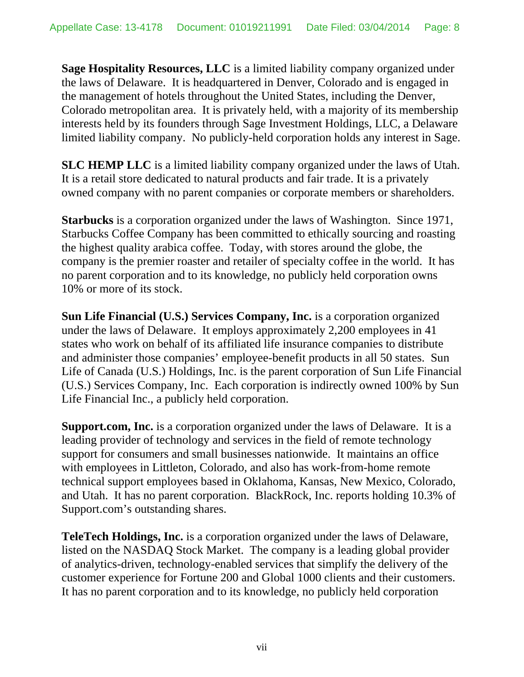**Sage Hospitality Resources, LLC** is a limited liability company organized under the laws of Delaware. It is headquartered in Denver, Colorado and is engaged in the management of hotels throughout the United States, including the Denver, Colorado metropolitan area. It is privately held, with a majority of its membership interests held by its founders through Sage Investment Holdings, LLC, a Delaware limited liability company. No publicly-held corporation holds any interest in Sage.

**SLC HEMP LLC** is a limited liability company organized under the laws of Utah. It is a retail store dedicated to natural products and fair trade. It is a privately owned company with no parent companies or corporate members or shareholders.

**Starbucks** is a corporation organized under the laws of Washington. Since 1971, Starbucks Coffee Company has been committed to ethically sourcing and roasting the highest quality arabica coffee. Today, with stores around the globe, the company is the premier roaster and retailer of specialty coffee in the world. It has no parent corporation and to its knowledge, no publicly held corporation owns 10% or more of its stock.

**Sun Life Financial (U.S.) Services Company, Inc.** is a corporation organized under the laws of Delaware. It employs approximately 2,200 employees in 41 states who work on behalf of its affiliated life insurance companies to distribute and administer those companies' employee-benefit products in all 50 states. Sun Life of Canada (U.S.) Holdings, Inc. is the parent corporation of Sun Life Financial (U.S.) Services Company, Inc. Each corporation is indirectly owned 100% by Sun Life Financial Inc., a publicly held corporation.

**Support.com, Inc.** is a corporation organized under the laws of Delaware. It is a leading provider of technology and services in the field of remote technology support for consumers and small businesses nationwide. It maintains an office with employees in Littleton, Colorado, and also has work-from-home remote technical support employees based in Oklahoma, Kansas, New Mexico, Colorado, and Utah. It has no parent corporation. BlackRock, Inc. reports holding 10.3% of Support.com's outstanding shares.

**TeleTech Holdings, Inc.** is a corporation organized under the laws of Delaware, listed on the NASDAQ Stock Market. The company is a leading global provider of analytics-driven, technology-enabled services that simplify the delivery of the customer experience for Fortune 200 and Global 1000 clients and their customers. It has no parent corporation and to its knowledge, no publicly held corporation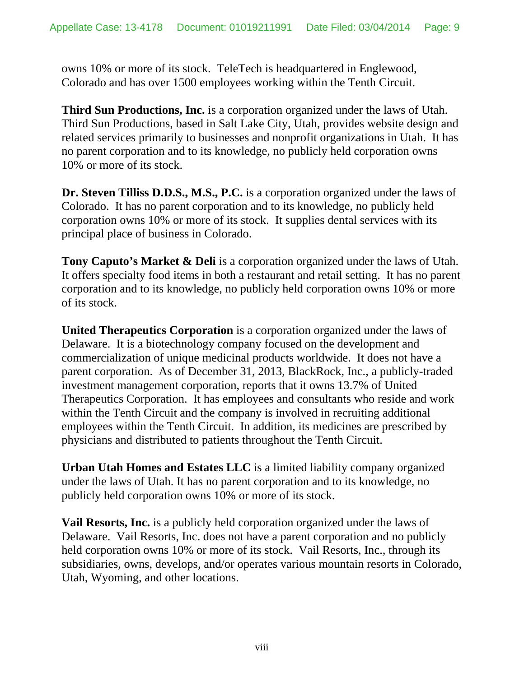owns 10% or more of its stock. TeleTech is headquartered in Englewood, Colorado and has over 1500 employees working within the Tenth Circuit.

**Third Sun Productions, Inc.** is a corporation organized under the laws of Utah. Third Sun Productions, based in Salt Lake City, Utah, provides website design and related services primarily to businesses and nonprofit organizations in Utah. It has no parent corporation and to its knowledge, no publicly held corporation owns 10% or more of its stock.

**Dr. Steven Tilliss D.D.S., M.S., P.C.** is a corporation organized under the laws of Colorado. It has no parent corporation and to its knowledge, no publicly held corporation owns 10% or more of its stock. It supplies dental services with its principal place of business in Colorado.

**Tony Caputo's Market & Deli** is a corporation organized under the laws of Utah. It offers specialty food items in both a restaurant and retail setting. It has no parent corporation and to its knowledge, no publicly held corporation owns 10% or more of its stock.

**United Therapeutics Corporation** is a corporation organized under the laws of Delaware. It is a biotechnology company focused on the development and commercialization of unique medicinal products worldwide. It does not have a parent corporation. As of December 31, 2013, BlackRock, Inc., a publicly-traded investment management corporation, reports that it owns 13.7% of United Therapeutics Corporation. It has employees and consultants who reside and work within the Tenth Circuit and the company is involved in recruiting additional employees within the Tenth Circuit. In addition, its medicines are prescribed by physicians and distributed to patients throughout the Tenth Circuit.

**Urban Utah Homes and Estates LLC** is a limited liability company organized under the laws of Utah. It has no parent corporation and to its knowledge, no publicly held corporation owns 10% or more of its stock.

**Vail Resorts, Inc.** is a publicly held corporation organized under the laws of Delaware. Vail Resorts, Inc. does not have a parent corporation and no publicly held corporation owns 10% or more of its stock. Vail Resorts, Inc., through its subsidiaries, owns, develops, and/or operates various mountain resorts in Colorado, Utah, Wyoming, and other locations.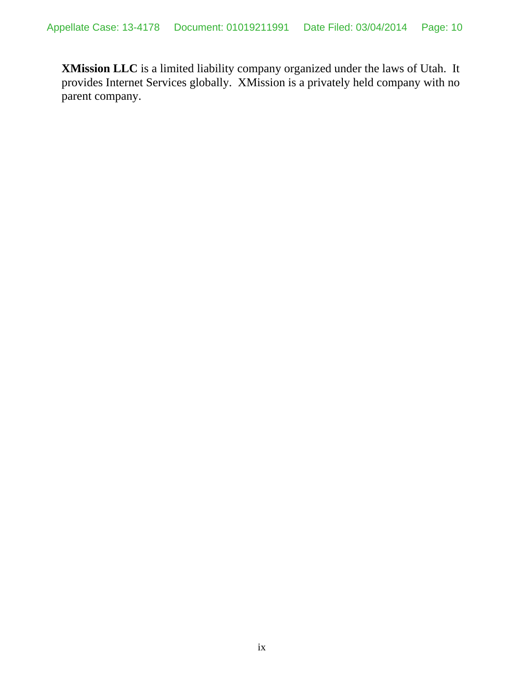**XMission LLC** is a limited liability company organized under the laws of Utah. It provides Internet Services globally. XMission is a privately held company with no parent company.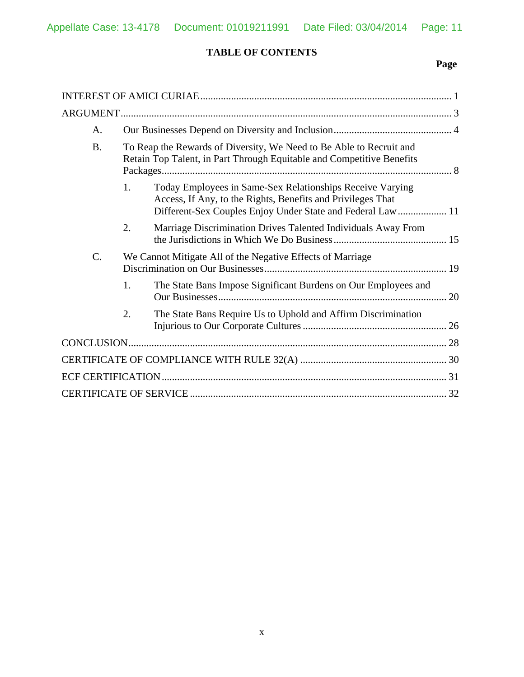### **TABLE OF CONTENTS**

# **Page**

| А.        |    |                                                                                                                                                                                         |    |  |
|-----------|----|-----------------------------------------------------------------------------------------------------------------------------------------------------------------------------------------|----|--|
| <b>B.</b> |    | To Reap the Rewards of Diversity, We Need to Be Able to Recruit and<br>Retain Top Talent, in Part Through Equitable and Competitive Benefits                                            |    |  |
|           | 1. | Today Employees in Same-Sex Relationships Receive Varying<br>Access, If Any, to the Rights, Benefits and Privileges That<br>Different-Sex Couples Enjoy Under State and Federal Law  11 |    |  |
|           | 2. | Marriage Discrimination Drives Talented Individuals Away From                                                                                                                           |    |  |
| C.        |    | We Cannot Mitigate All of the Negative Effects of Marriage                                                                                                                              |    |  |
|           | 1. | The State Bans Impose Significant Burdens on Our Employees and                                                                                                                          | 20 |  |
|           | 2. | The State Bans Require Us to Uphold and Affirm Discrimination                                                                                                                           |    |  |
|           |    |                                                                                                                                                                                         |    |  |
|           |    |                                                                                                                                                                                         |    |  |
|           |    |                                                                                                                                                                                         |    |  |
|           |    |                                                                                                                                                                                         |    |  |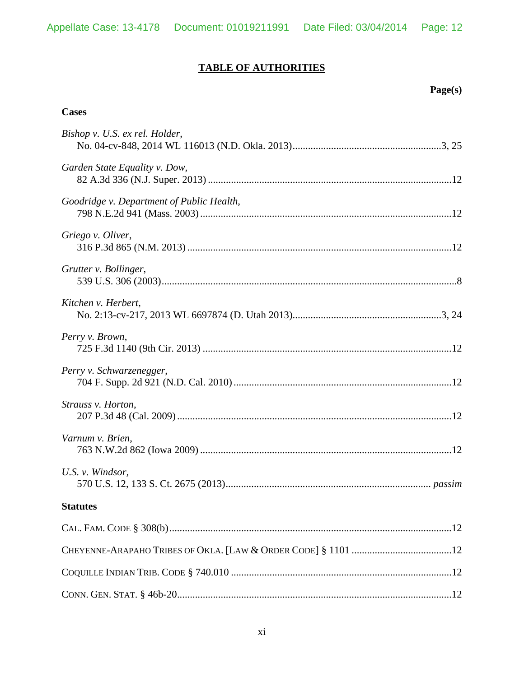# **TABLE OF AUTHORITIES**

## **Page(s)**

#### **Cases**

| Bishop v. U.S. ex rel. Holder,            |  |
|-------------------------------------------|--|
| Garden State Equality v. Dow,             |  |
| Goodridge v. Department of Public Health, |  |
| Griego v. Oliver,                         |  |
| Grutter v. Bollinger,                     |  |
| Kitchen v. Herbert,                       |  |
| Perry v. Brown,                           |  |
| Perry v. Schwarzenegger,                  |  |
| Strauss v. Horton,                        |  |
| Varnum v. Brien,                          |  |
| U.S. v. Windsor,                          |  |
| <b>Statutes</b>                           |  |
|                                           |  |
|                                           |  |
|                                           |  |
|                                           |  |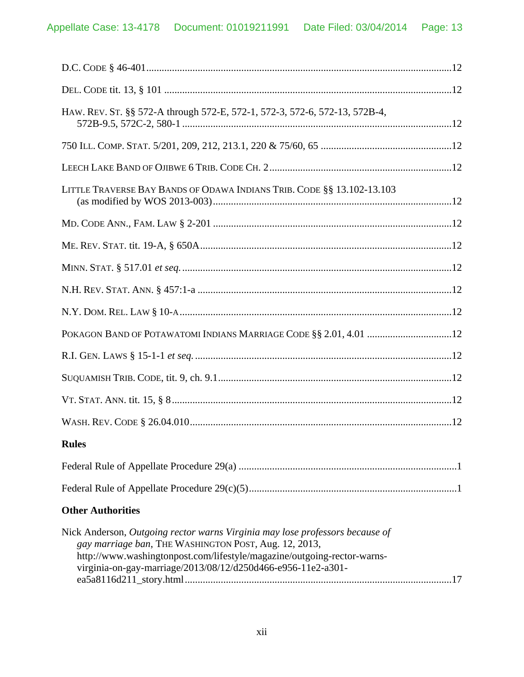| HAW. REV. ST. §§ 572-A through 572-E, 572-1, 572-3, 572-6, 572-13, 572B-4,                                                                                                                                                                                                       |
|----------------------------------------------------------------------------------------------------------------------------------------------------------------------------------------------------------------------------------------------------------------------------------|
|                                                                                                                                                                                                                                                                                  |
|                                                                                                                                                                                                                                                                                  |
| LITTLE TRAVERSE BAY BANDS OF ODAWA INDIANS TRIB. CODE §§ 13.102-13.103                                                                                                                                                                                                           |
|                                                                                                                                                                                                                                                                                  |
|                                                                                                                                                                                                                                                                                  |
|                                                                                                                                                                                                                                                                                  |
|                                                                                                                                                                                                                                                                                  |
|                                                                                                                                                                                                                                                                                  |
|                                                                                                                                                                                                                                                                                  |
|                                                                                                                                                                                                                                                                                  |
|                                                                                                                                                                                                                                                                                  |
|                                                                                                                                                                                                                                                                                  |
|                                                                                                                                                                                                                                                                                  |
| <b>Rules</b>                                                                                                                                                                                                                                                                     |
|                                                                                                                                                                                                                                                                                  |
|                                                                                                                                                                                                                                                                                  |
| <b>Other Authorities</b>                                                                                                                                                                                                                                                         |
| Nick Anderson, Outgoing rector warns Virginia may lose professors because of<br>gay marriage ban, THE WASHINGTON POST, Aug. 12, 2013,<br>http://www.washingtonpost.com/lifestyle/magazine/outgoing-rector-warns-<br>virginia-on-gay-marriage/2013/08/12/d250d466-e956-11e2-a301- |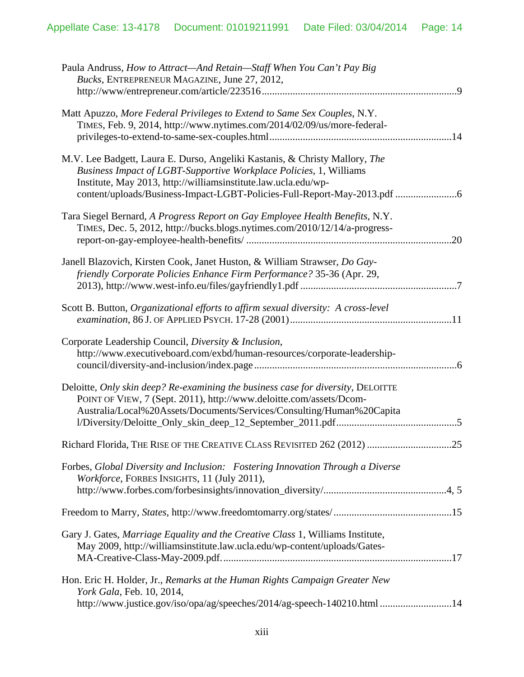| Paula Andruss, How to Attract—And Retain—Staff When You Can't Pay Big<br>Bucks, ENTREPRENEUR MAGAZINE, June 27, 2012,                                                                                                                                                                           |
|-------------------------------------------------------------------------------------------------------------------------------------------------------------------------------------------------------------------------------------------------------------------------------------------------|
| Matt Apuzzo, More Federal Privileges to Extend to Same Sex Couples, N.Y.<br>TIMES, Feb. 9, 2014, http://www.nytimes.com/2014/02/09/us/more-federal-                                                                                                                                             |
| M.V. Lee Badgett, Laura E. Durso, Angeliki Kastanis, & Christy Mallory, The<br>Business Impact of LGBT-Supportive Workplace Policies, 1, Williams<br>Institute, May 2013, http://williamsinstitute.law.ucla.edu/wp-<br>content/uploads/Business-Impact-LGBT-Policies-Full-Report-May-2013.pdf 6 |
| Tara Siegel Bernard, A Progress Report on Gay Employee Health Benefits, N.Y.<br>TIMES, Dec. 5, 2012, http://bucks.blogs.nytimes.com/2010/12/14/a-progress-<br>.20                                                                                                                               |
| Janell Blazovich, Kirsten Cook, Janet Huston, & William Strawser, Do Gay-<br>friendly Corporate Policies Enhance Firm Performance? 35-36 (Apr. 29,                                                                                                                                              |
| Scott B. Button, Organizational efforts to affirm sexual diversity: A cross-level                                                                                                                                                                                                               |
| Corporate Leadership Council, Diversity & Inclusion,<br>http://www.executiveboard.com/exbd/human-resources/corporate-leadership-                                                                                                                                                                |
| Deloitte, Only skin deep? Re-examining the business case for diversity, DELOITTE<br>POINT OF VIEW, 7 (Sept. 2011), http://www.deloitte.com/assets/Dcom-<br>Australia/Local%20Assets/Documents/Services/Consulting/Human%20Capita                                                                |
| Richard Florida, THE RISE OF THE CREATIVE CLASS REVISITED 262 (2012)<br>25                                                                                                                                                                                                                      |
| Forbes, Global Diversity and Inclusion: Fostering Innovation Through a Diverse<br>Workforce, FORBES INSIGHTS, 11 (July 2011),                                                                                                                                                                   |
|                                                                                                                                                                                                                                                                                                 |
| Gary J. Gates, <i>Marriage Equality and the Creative Class</i> 1, Williams Institute,<br>May 2009, http://williamsinstitute.law.ucla.edu/wp-content/uploads/Gates-                                                                                                                              |
| Hon. Eric H. Holder, Jr., Remarks at the Human Rights Campaign Greater New<br>York Gala, Feb. 10, 2014,                                                                                                                                                                                         |
| http://www.justice.gov/iso/opa/ag/speeches/2014/ag-speech-140210.html 14                                                                                                                                                                                                                        |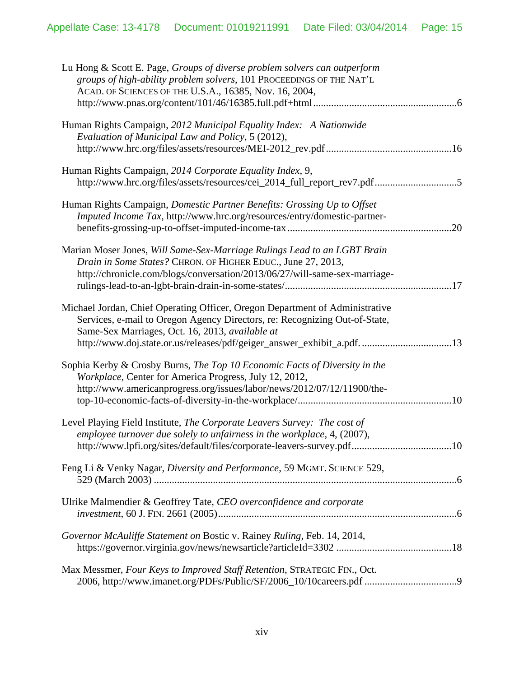| Lu Hong & Scott E. Page, Groups of diverse problem solvers can outperform<br>groups of high-ability problem solvers, 101 PROCEEDINGS OF THE NAT'L<br>ACAD. OF SCIENCES OF THE U.S.A., 16385, Nov. 16, 2004,                                                                              |  |
|------------------------------------------------------------------------------------------------------------------------------------------------------------------------------------------------------------------------------------------------------------------------------------------|--|
| Human Rights Campaign, 2012 Municipal Equality Index: A Nationwide<br>Evaluation of Municipal Law and Policy, 5 (2012),                                                                                                                                                                  |  |
| Human Rights Campaign, 2014 Corporate Equality Index, 9,<br>http://www.hrc.org/files/assets/resources/cei_2014_full_report_rev7.pdf5                                                                                                                                                     |  |
| Human Rights Campaign, Domestic Partner Benefits: Grossing Up to Offset<br>Imputed Income Tax, http://www.hrc.org/resources/entry/domestic-partner-                                                                                                                                      |  |
| Marian Moser Jones, Will Same-Sex-Marriage Rulings Lead to an LGBT Brain<br>Drain in Some States? CHRON. OF HIGHER EDUC., June 27, 2013,<br>http://chronicle.com/blogs/conversation/2013/06/27/will-same-sex-marriage-                                                                   |  |
| Michael Jordan, Chief Operating Officer, Oregon Department of Administrative<br>Services, e-mail to Oregon Agency Directors, re: Recognizing Out-of-State,<br>Same-Sex Marriages, Oct. 16, 2013, available at<br>http://www.doj.state.or.us/releases/pdf/geiger_answer_exhibit_a.pdf. 13 |  |
| Sophia Kerby & Crosby Burns, The Top 10 Economic Facts of Diversity in the<br>Workplace, Center for America Progress, July 12, 2012,<br>http://www.americanprogress.org/issues/labor/news/2012/07/12/11900/the-                                                                          |  |
| Level Playing Field Institute, The Corporate Leavers Survey: The cost of<br>employee turnover due solely to unfairness in the workplace, 4, (2007),                                                                                                                                      |  |
| Feng Li & Venky Nagar, Diversity and Performance, 59 MGMT. SCIENCE 529,                                                                                                                                                                                                                  |  |
| Ulrike Malmendier & Geoffrey Tate, CEO overconfidence and corporate                                                                                                                                                                                                                      |  |
| Governor McAuliffe Statement on Bostic v. Rainey Ruling, Feb. 14, 2014,                                                                                                                                                                                                                  |  |
| Max Messmer, Four Keys to Improved Staff Retention, STRATEGIC FIN., Oct.                                                                                                                                                                                                                 |  |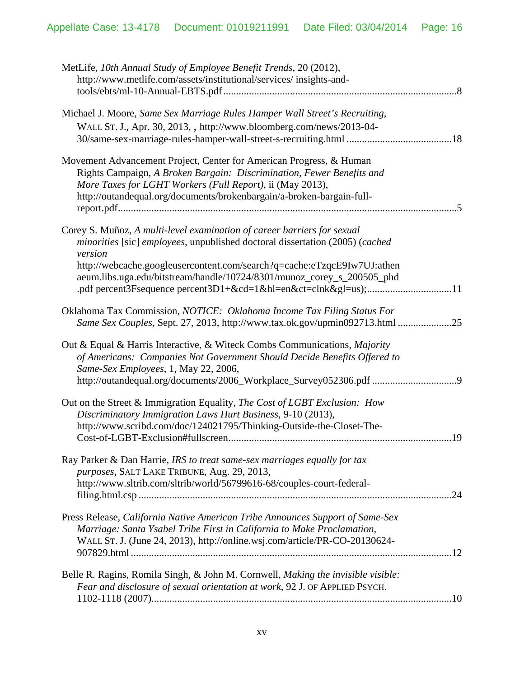| MetLife, 10th Annual Study of Employee Benefit Trends, 20 (2012),<br>http://www.metlife.com/assets/institutional/services/ insights-and-                                                                                                                                                                                |  |
|-------------------------------------------------------------------------------------------------------------------------------------------------------------------------------------------------------------------------------------------------------------------------------------------------------------------------|--|
| Michael J. Moore, Same Sex Marriage Rules Hamper Wall Street's Recruiting,<br>WALL ST. J., Apr. 30, 2013, , http://www.bloomberg.com/news/2013-04-                                                                                                                                                                      |  |
| Movement Advancement Project, Center for American Progress, & Human<br>Rights Campaign, A Broken Bargain: Discrimination, Fewer Benefits and<br>More Taxes for LGHT Workers (Full Report), ii (May 2013),<br>http://outandequal.org/documents/brokenbargain/a-broken-bargain-full-                                      |  |
| Corey S. Muñoz, A multi-level examination of career barriers for sexual<br>minorities [sic] employees, unpublished doctoral dissertation (2005) (cached<br>version<br>http://webcache.googleusercontent.com/search?q=cache:eTzqcE9Iw7UJ:athen<br>aeum.libs.uga.edu/bitstream/handle/10724/8301/munoz_corey_s_200505_phd |  |
| Oklahoma Tax Commission, NOTICE: Oklahoma Income Tax Filing Status For<br>Same Sex Couples, Sept. 27, 2013, http://www.tax.ok.gov/upmin092713.html 25                                                                                                                                                                   |  |
| Out & Equal & Harris Interactive, & Witeck Combs Communications, Majority<br>of Americans: Companies Not Government Should Decide Benefits Offered to<br>Same-Sex Employees, 1, May 22, 2006,                                                                                                                           |  |
| Out on the Street & Immigration Equality, The Cost of LGBT Exclusion: How<br>Discriminatory Immigration Laws Hurt Business, 9-10 (2013),<br>http://www.scribd.com/doc/124021795/Thinking-Outside-the-Closet-The-                                                                                                        |  |
| Ray Parker & Dan Harrie, IRS to treat same-sex marriages equally for tax<br>purposes, SALT LAKE TRIBUNE, Aug. 29, 2013,<br>http://www.sltrib.com/sltrib/world/56799616-68/couples-court-federal-                                                                                                                        |  |
| Press Release, California Native American Tribe Announces Support of Same-Sex<br>Marriage: Santa Ysabel Tribe First in California to Make Proclamation,<br>WALL ST. J. (June 24, 2013), http://online.wsj.com/article/PR-CO-20130624-                                                                                   |  |
| Belle R. Ragins, Romila Singh, & John M. Cornwell, Making the invisible visible:<br>Fear and disclosure of sexual orientation at work, 92 J. OF APPLIED PSYCH.                                                                                                                                                          |  |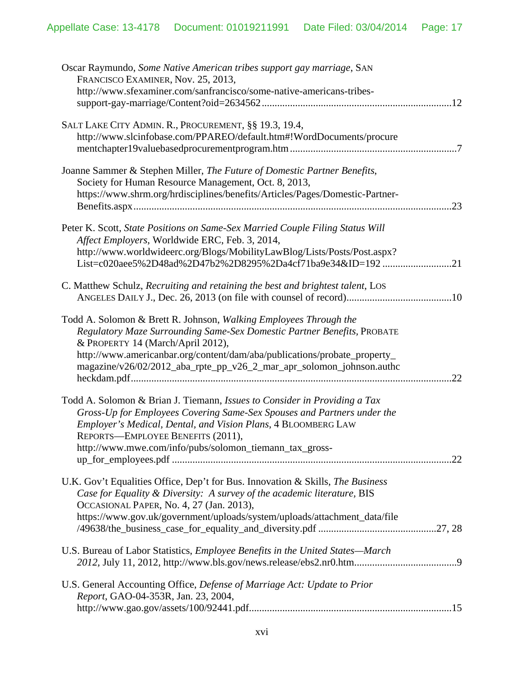| Oscar Raymundo, Some Native American tribes support gay marriage, SAN<br>FRANCISCO EXAMINER, Nov. 25, 2013,<br>http://www.sfexaminer.com/sanfrancisco/some-native-americans-tribes-                                                                                                                                                          |
|----------------------------------------------------------------------------------------------------------------------------------------------------------------------------------------------------------------------------------------------------------------------------------------------------------------------------------------------|
| SALT LAKE CITY ADMIN. R., PROCUREMENT, §§ 19.3, 19.4,<br>http://www.slcinfobase.com/PPAREO/default.htm#!WordDocuments/procure                                                                                                                                                                                                                |
| Joanne Sammer & Stephen Miller, The Future of Domestic Partner Benefits,<br>Society for Human Resource Management, Oct. 8, 2013,<br>https://www.shrm.org/hrdisciplines/benefits/Articles/Pages/Domestic-Partner-                                                                                                                             |
| Peter K. Scott, State Positions on Same-Sex Married Couple Filing Status Will<br>Affect Employers, Worldwide ERC, Feb. 3, 2014,<br>http://www.worldwideerc.org/Blogs/MobilityLawBlog/Lists/Posts/Post.aspx?<br>List=c020aee5%2D48ad%2D47b2%2D8295%2Da4cf71ba9e34&ID=19221                                                                    |
| C. Matthew Schulz, Recruiting and retaining the best and brightest talent, LOS                                                                                                                                                                                                                                                               |
| Todd A. Solomon & Brett R. Johnson, Walking Employees Through the<br>Regulatory Maze Surrounding Same-Sex Domestic Partner Benefits, PROBATE<br>& PROPERTY 14 (March/April 2012),<br>http://www.americanbar.org/content/dam/aba/publications/probate_property_<br>magazine/v26/02/2012_aba_rpte_pp_v26_2_mar_apr_solomon_johnson.authc<br>22 |
| Todd A. Solomon & Brian J. Tiemann, Issues to Consider in Providing a Tax<br>Gross-Up for Employees Covering Same-Sex Spouses and Partners under the<br>Employer's Medical, Dental, and Vision Plans, 4 BLOOMBERG LAW<br>REPORTS-EMPLOYEE BENEFITS (2011),<br>http://www.mwe.com/info/pubs/solomon_tiemann_tax_gross-                        |
| U.K. Gov't Equalities Office, Dep't for Bus. Innovation & Skills, The Business<br>Case for Equality & Diversity: A survey of the academic literature, BIS<br>OCCASIONAL PAPER, No. 4, 27 (Jan. 2013),<br>https://www.gov.uk/government/uploads/system/uploads/attachment_data/file                                                           |
| U.S. Bureau of Labor Statistics, <i>Employee Benefits in the United States—March</i>                                                                                                                                                                                                                                                         |
| U.S. General Accounting Office, Defense of Marriage Act: Update to Prior<br>Report, GAO-04-353R, Jan. 23, 2004,                                                                                                                                                                                                                              |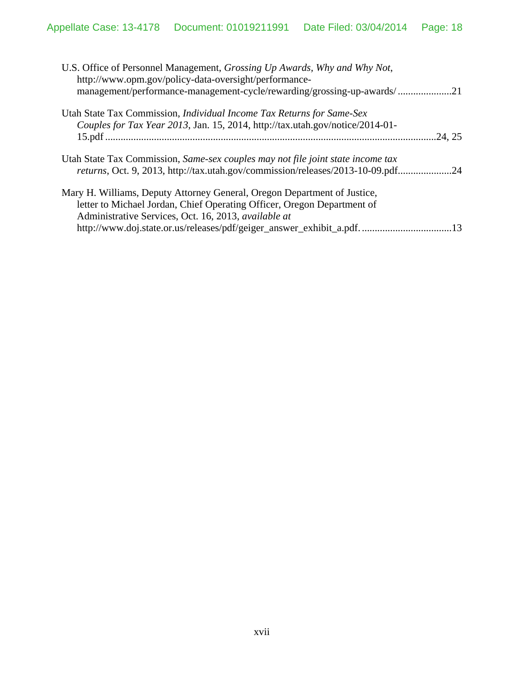| U.S. Office of Personnel Management, <i>Grossing Up Awards</i> , <i>Why and Why Not</i> ,<br>http://www.opm.gov/policy-data-oversight/performance- |         |
|----------------------------------------------------------------------------------------------------------------------------------------------------|---------|
| management/performance-management-cycle/rewarding/grossing-up-awards/21                                                                            |         |
| Utah State Tax Commission, <i>Individual Income Tax Returns for Same-Sex</i>                                                                       |         |
| Couples for Tax Year 2013, Jan. 15, 2014, http://tax.utah.gov/notice/2014-01-                                                                      |         |
|                                                                                                                                                    | .24, 25 |
| Utah State Tax Commission, Same-sex couples may not file joint state income tax                                                                    |         |
| returns, Oct. 9, 2013, http://tax.utah.gov/commission/releases/2013-10-09.pdf24                                                                    |         |
| Mary H. Williams, Deputy Attorney General, Oregon Department of Justice,                                                                           |         |
| letter to Michael Jordan, Chief Operating Officer, Oregon Department of                                                                            |         |
| Administrative Services, Oct. 16, 2013, available at                                                                                               |         |
| http://www.doj.state.or.us/releases/pdf/geiger_answer_exhibit_a.pdf                                                                                | .13     |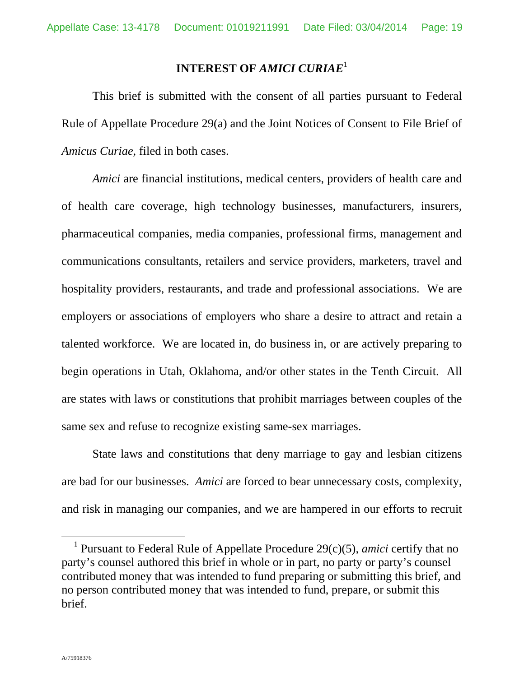### **INTEREST OF** *AMICI CURIAE*<sup>1</sup>

This brief is submitted with the consent of all parties pursuant to Federal Rule of Appellate Procedure 29(a) and the Joint Notices of Consent to File Brief of *Amicus Curiae*, filed in both cases.

*Amici* are financial institutions, medical centers, providers of health care and of health care coverage, high technology businesses, manufacturers, insurers, pharmaceutical companies, media companies, professional firms, management and communications consultants, retailers and service providers, marketers, travel and hospitality providers, restaurants, and trade and professional associations. We are employers or associations of employers who share a desire to attract and retain a talented workforce. We are located in, do business in, or are actively preparing to begin operations in Utah, Oklahoma, and/or other states in the Tenth Circuit. All are states with laws or constitutions that prohibit marriages between couples of the same sex and refuse to recognize existing same-sex marriages.

State laws and constitutions that deny marriage to gay and lesbian citizens are bad for our businesses. *Amici* are forced to bear unnecessary costs, complexity, and risk in managing our companies, and we are hampered in our efforts to recruit

 <sup>1</sup> Pursuant to Federal Rule of Appellate Procedure 29(c)(5), *amici* certify that no party's counsel authored this brief in whole or in part, no party or party's counsel contributed money that was intended to fund preparing or submitting this brief, and no person contributed money that was intended to fund, prepare, or submit this brief.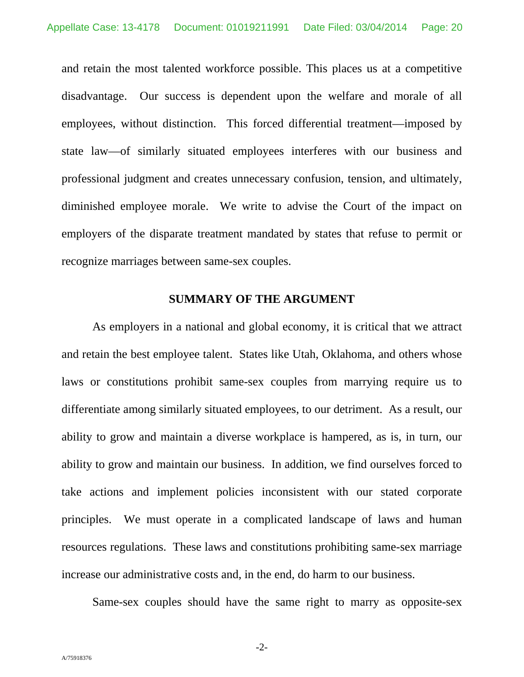and retain the most talented workforce possible. This places us at a competitive disadvantage. Our success is dependent upon the welfare and morale of all employees, without distinction. This forced differential treatment—imposed by state law—of similarly situated employees interferes with our business and professional judgment and creates unnecessary confusion, tension, and ultimately, diminished employee morale. We write to advise the Court of the impact on employers of the disparate treatment mandated by states that refuse to permit or recognize marriages between same-sex couples.

#### **SUMMARY OF THE ARGUMENT**

As employers in a national and global economy, it is critical that we attract and retain the best employee talent. States like Utah, Oklahoma, and others whose laws or constitutions prohibit same-sex couples from marrying require us to differentiate among similarly situated employees, to our detriment. As a result, our ability to grow and maintain a diverse workplace is hampered, as is, in turn, our ability to grow and maintain our business. In addition, we find ourselves forced to take actions and implement policies inconsistent with our stated corporate principles. We must operate in a complicated landscape of laws and human resources regulations. These laws and constitutions prohibiting same-sex marriage increase our administrative costs and, in the end, do harm to our business.

Same-sex couples should have the same right to marry as opposite-sex

-2-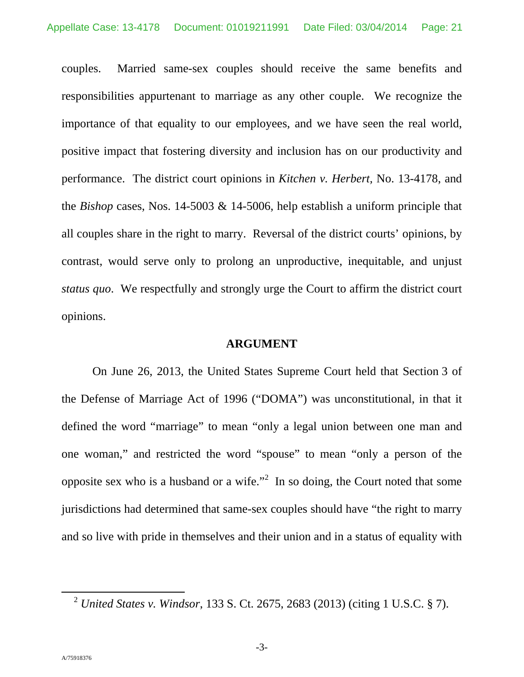couples. Married same-sex couples should receive the same benefits and responsibilities appurtenant to marriage as any other couple. We recognize the importance of that equality to our employees, and we have seen the real world, positive impact that fostering diversity and inclusion has on our productivity and performance. The district court opinions in *Kitchen v. Herbert,* No. 13-4178, and the *Bishop* cases, Nos. 14-5003 & 14-5006, help establish a uniform principle that all couples share in the right to marry. Reversal of the district courts' opinions, by contrast, would serve only to prolong an unproductive, inequitable, and unjust *status quo*. We respectfully and strongly urge the Court to affirm the district court opinions.

#### **ARGUMENT**

On June 26, 2013, the United States Supreme Court held that Section 3 of the Defense of Marriage Act of 1996 ("DOMA") was unconstitutional, in that it defined the word "marriage" to mean "only a legal union between one man and one woman," and restricted the word "spouse" to mean "only a person of the opposite sex who is a husband or a wife."<sup>2</sup> In so doing, the Court noted that some jurisdictions had determined that same-sex couples should have "the right to marry and so live with pride in themselves and their union and in a status of equality with

 <sup>2</sup> *United States v. Windsor*, 133 S. Ct. 2675, 2683 (2013) (citing 1 U.S.C. § 7).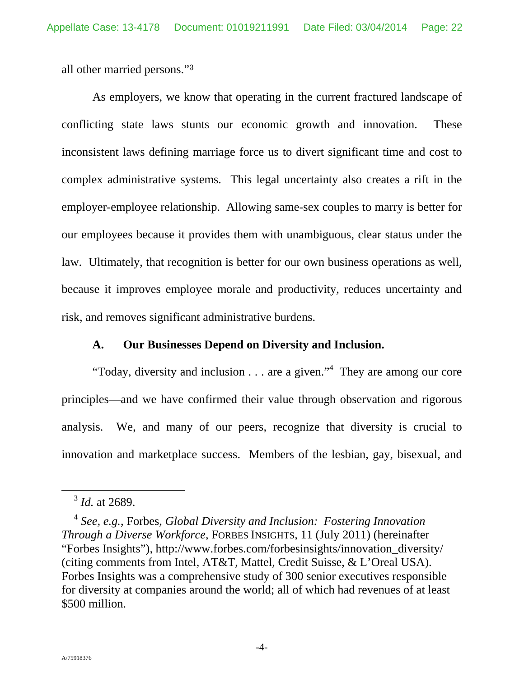all other married persons."<sup>3</sup>

As employers, we know that operating in the current fractured landscape of conflicting state laws stunts our economic growth and innovation. These inconsistent laws defining marriage force us to divert significant time and cost to complex administrative systems. This legal uncertainty also creates a rift in the employer-employee relationship. Allowing same-sex couples to marry is better for our employees because it provides them with unambiguous, clear status under the law. Ultimately, that recognition is better for our own business operations as well, because it improves employee morale and productivity, reduces uncertainty and risk, and removes significant administrative burdens.

## **A. Our Businesses Depend on Diversity and Inclusion.**

"Today, diversity and inclusion  $\dots$  are a given."<sup>4</sup> They are among our core principles—and we have confirmed their value through observation and rigorous analysis. We, and many of our peers, recognize that diversity is crucial to innovation and marketplace success. Members of the lesbian, gay, bisexual, and

 <sup>3</sup> *Id.* at 2689.

<sup>4</sup> *See, e.g.*, Forbes, *Global Diversity and Inclusion: Fostering Innovation Through a Diverse Workforce*, FORBES INSIGHTS, 11 (July 2011) (hereinafter "Forbes Insights"), http://www.forbes.com/forbesinsights/innovation\_diversity/ (citing comments from Intel, AT&T, Mattel, Credit Suisse, & L'Oreal USA). Forbes Insights was a comprehensive study of 300 senior executives responsible for diversity at companies around the world; all of which had revenues of at least \$500 million.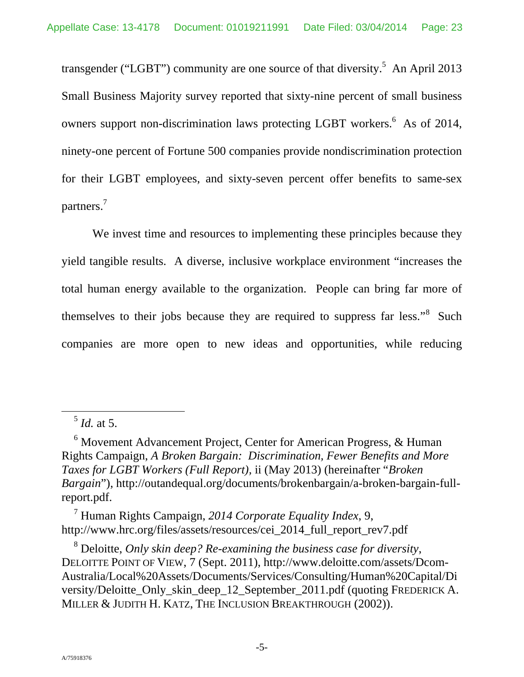transgender ("LGBT") community are one source of that diversity.<sup>5</sup> An April 2013 Small Business Majority survey reported that sixty-nine percent of small business owners support non-discrimination laws protecting LGBT workers.<sup>6</sup> As of 2014, ninety-one percent of Fortune 500 companies provide nondiscrimination protection for their LGBT employees, and sixty-seven percent offer benefits to same-sex partners.<sup>7</sup>

We invest time and resources to implementing these principles because they yield tangible results. A diverse, inclusive workplace environment "increases the total human energy available to the organization. People can bring far more of themselves to their jobs because they are required to suppress far less."<sup>8</sup> Such companies are more open to new ideas and opportunities, while reducing

7 Human Rights Campaign, *2014 Corporate Equality Index*, 9, http://www.hrc.org/files/assets/resources/cei\_2014\_full\_report\_rev7.pdf

8 Deloitte, *Only skin deep? Re-examining the business case for diversity*, DELOITTE POINT OF VIEW, 7 (Sept. 2011), http://www.deloitte.com/assets/Dcom-Australia/Local%20Assets/Documents/Services/Consulting/Human%20Capital/Di versity/Deloitte\_Only\_skin\_deep\_12\_September\_2011.pdf (quoting FREDERICK A. MILLER & JUDITH H. KATZ, THE INCLUSION BREAKTHROUGH (2002)).

 <sup>5</sup> *Id.* at 5.

<sup>&</sup>lt;sup>6</sup> Movement Advancement Project, Center for American Progress, & Human Rights Campaign, *A Broken Bargain: Discrimination, Fewer Benefits and More Taxes for LGBT Workers (Full Report),* ii (May 2013) (hereinafter "*Broken Bargain*"), http://outandequal.org/documents/brokenbargain/a-broken-bargain-fullreport.pdf.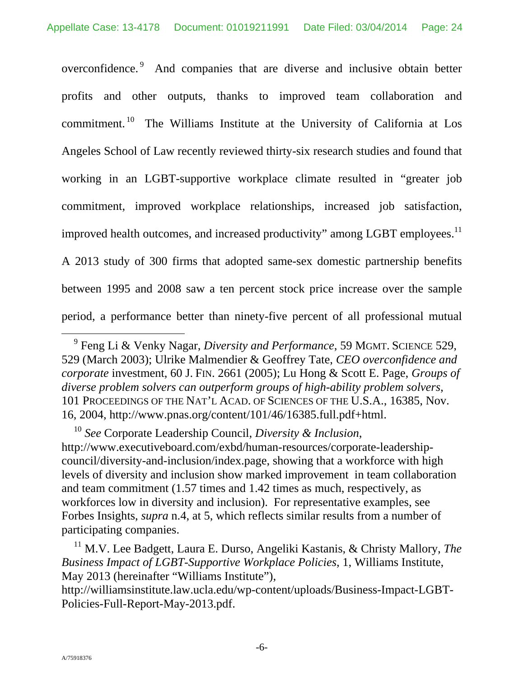overconfidence.<sup>9</sup> And companies that are diverse and inclusive obtain better profits and other outputs, thanks to improved team collaboration and commitment. 10 The Williams Institute at the University of California at Los Angeles School of Law recently reviewed thirty-six research studies and found that working in an LGBT-supportive workplace climate resulted in "greater job commitment, improved workplace relationships, increased job satisfaction, improved health outcomes, and increased productivity" among LGBT employees.<sup>11</sup> A 2013 study of 300 firms that adopted same-sex domestic partnership benefits between 1995 and 2008 saw a ten percent stock price increase over the sample period, a performance better than ninety-five percent of all professional mutual

 <sup>9</sup> Feng Li & Venky Nagar, *Diversity and Performance*, 59 MGMT. SCIENCE 529, 529 (March 2003); Ulrike Malmendier & Geoffrey Tate, *CEO overconfidence and corporate* investment, 60 J. FIN. 2661 (2005); Lu Hong & Scott E. Page, *Groups of diverse problem solvers can outperform groups of high-ability problem solvers*, 101 PROCEEDINGS OF THE NAT'L ACAD. OF SCIENCES OF THE U.S.A., 16385, Nov. 16, 2004, http://www.pnas.org/content/101/46/16385.full.pdf+html.

<sup>10</sup> *See* Corporate Leadership Council, *Diversity & Inclusion*, http://www.executiveboard.com/exbd/human-resources/corporate-leadershipcouncil/diversity-and-inclusion/index.page, showing that a workforce with high levels of diversity and inclusion show marked improvement in team collaboration and team commitment (1.57 times and 1.42 times as much, respectively, as workforces low in diversity and inclusion). For representative examples, see Forbes Insights, *supra* n.4, at 5, which reflects similar results from a number of participating companies.

<sup>&</sup>lt;sup>11</sup> M.V. Lee Badgett, Laura E. Durso, Angeliki Kastanis, & Christy Mallory, *The Business Impact of LGBT-Supportive Workplace Policies*, 1, Williams Institute, May 2013 (hereinafter "Williams Institute"),

http://williamsinstitute.law.ucla.edu/wp-content/uploads/Business-Impact-LGBT-Policies-Full-Report-May-2013.pdf.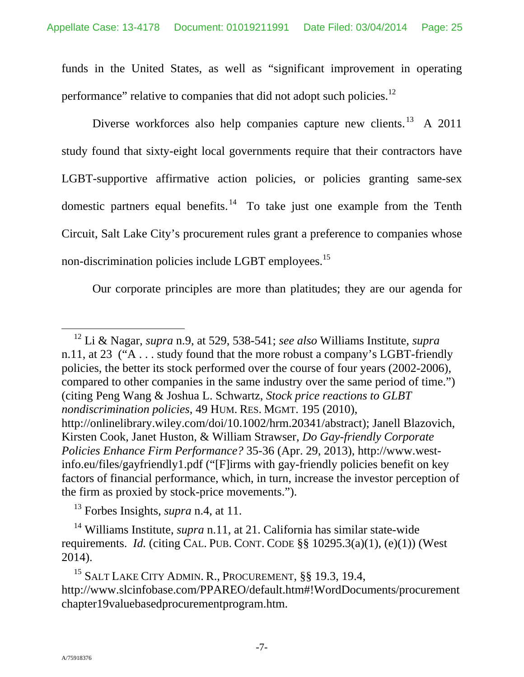funds in the United States, as well as "significant improvement in operating performance" relative to companies that did not adopt such policies.<sup>12</sup>

Diverse workforces also help companies capture new clients.<sup>13</sup> A 2011 study found that sixty-eight local governments require that their contractors have LGBT-supportive affirmative action policies, or policies granting same-sex domestic partners equal benefits.<sup>14</sup> To take just one example from the Tenth Circuit, Salt Lake City's procurement rules grant a preference to companies whose non-discrimination policies include LGBT employees.<sup>15</sup>

Our corporate principles are more than platitudes; they are our agenda for

13 Forbes Insights, *supra* n.4, at 11.

14 Williams Institute, *supra* n.11, at 21. California has similar state-wide requirements. *Id.* (citing CAL. PUB. CONT. CODE  $\S$ § 10295.3(a)(1), (e)(1)) (West 2014).

<sup>15</sup> SALT LAKE CITY ADMIN. R., PROCUREMENT, §§ 19.3, 19.4, http://www.slcinfobase.com/PPAREO/default.htm#!WordDocuments/procurement chapter19valuebasedprocurementprogram.htm.

 <sup>12</sup> Li & Nagar, *supra* n.9, at 529, 538-541; *see also* Williams Institute, *supra*  n.11, at 23 ("A . . . study found that the more robust a company's LGBT-friendly policies, the better its stock performed over the course of four years (2002-2006), compared to other companies in the same industry over the same period of time.") (citing Peng Wang & Joshua L. Schwartz, *Stock price reactions to GLBT nondiscrimination policies*, 49 HUM. RES. MGMT. 195 (2010), http://onlinelibrary.wiley.com/doi/10.1002/hrm.20341/abstract); Janell Blazovich, Kirsten Cook, Janet Huston, & William Strawser, *Do Gay-friendly Corporate Policies Enhance Firm Performance?* 35-36 (Apr. 29, 2013), http://www.westinfo.eu/files/gayfriendly1.pdf ("[F]irms with gay-friendly policies benefit on key factors of financial performance, which, in turn, increase the investor perception of the firm as proxied by stock-price movements.").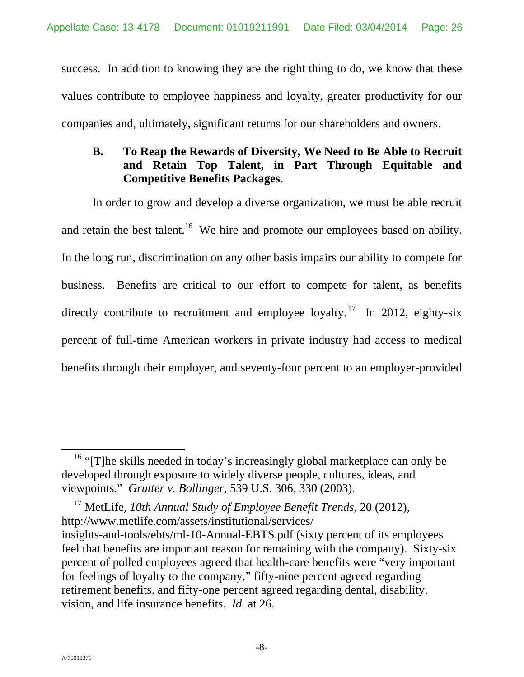success. In addition to knowing they are the right thing to do, we know that these values contribute to employee happiness and loyalty, greater productivity for our companies and, ultimately, significant returns for our shareholders and owners.

# **B. To Reap the Rewards of Diversity, We Need to Be Able to Recruit and Retain Top Talent, in Part Through Equitable and Competitive Benefits Packages.**

In order to grow and develop a diverse organization, we must be able recruit and retain the best talent.<sup>16</sup> We hire and promote our employees based on ability. In the long run, discrimination on any other basis impairs our ability to compete for business. Benefits are critical to our effort to compete for talent, as benefits directly contribute to recruitment and employee loyalty.<sup>17</sup> In 2012, eighty-six percent of full-time American workers in private industry had access to medical benefits through their employer, and seventy-four percent to an employer-provided

17 MetLife, *10th Annual Study of Employee Benefit Trends*, 20 (2012), http://www.metlife.com/assets/institutional/services/ insights-and-tools/ebts/ml-10-Annual-EBTS.pdf (sixty percent of its employees feel that benefits are important reason for remaining with the company). Sixty-six percent of polled employees agreed that health-care benefits were "very important for feelings of loyalty to the company," fifty-nine percent agreed regarding retirement benefits, and fifty-one percent agreed regarding dental, disability, vision, and life insurance benefits. *Id.* at 26.

<sup>&</sup>lt;sup>16</sup> "[T]he skills needed in today's increasingly global marketplace can only be developed through exposure to widely diverse people, cultures, ideas, and viewpoints." *Grutter v. Bollinger*, 539 U.S. 306, 330 (2003).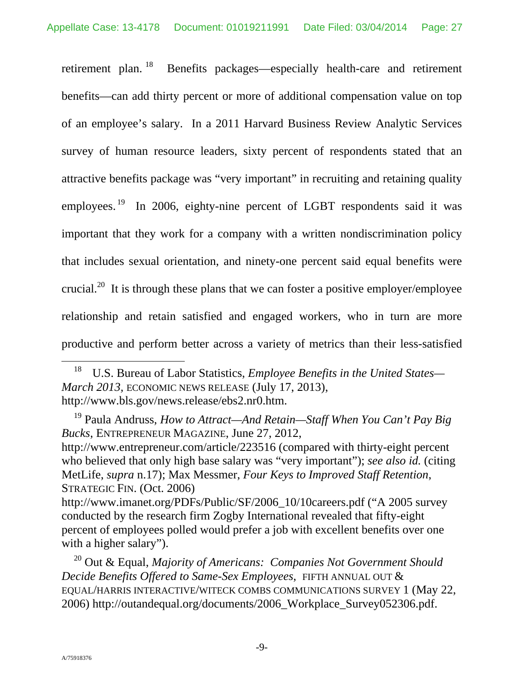retirement plan. <sup>18</sup> Benefits packages—especially health-care and retirement benefits—can add thirty percent or more of additional compensation value on top of an employee's salary. In a 2011 Harvard Business Review Analytic Services survey of human resource leaders, sixty percent of respondents stated that an attractive benefits package was "very important" in recruiting and retaining quality employees.<sup>19</sup> In 2006, eighty-nine percent of LGBT respondents said it was important that they work for a company with a written nondiscrimination policy that includes sexual orientation, and ninety-one percent said equal benefits were crucial.<sup>20</sup> It is through these plans that we can foster a positive employer/employee relationship and retain satisfied and engaged workers, who in turn are more productive and perform better across a variety of metrics than their less-satisfied

 18 U.S. Bureau of Labor Statistics, *Employee Benefits in the United States— March 2013,* ECONOMIC NEWS RELEASE (July 17, 2013), http://www.bls.gov/news.release/ebs2.nr0.htm.

19 Paula Andruss, *How to Attract—And Retain—Staff When You Can't Pay Big Bucks*, ENTREPRENEUR MAGAZINE, June 27, 2012, http://www.entrepreneur.com/article/223516 (compared with thirty-eight percent who believed that only high base salary was "very important"); *see also id.* (citing MetLife, *supra* n.17); Max Messmer, *Four Keys to Improved Staff Retention*, STRATEGIC FIN. (Oct. 2006)

http://www.imanet.org/PDFs/Public/SF/2006\_10/10careers.pdf ("A 2005 survey conducted by the research firm Zogby International revealed that fifty-eight percent of employees polled would prefer a job with excellent benefits over one with a higher salary").

20 Out & Equal, *Majority of Americans: Companies Not Government Should Decide Benefits Offered to Same-Sex Employees*, FIFTH ANNUAL OUT & EQUAL/HARRIS INTERACTIVE/WITECK COMBS COMMUNICATIONS SURVEY 1 (May 22, 2006) http://outandequal.org/documents/2006\_Workplace\_Survey052306.pdf.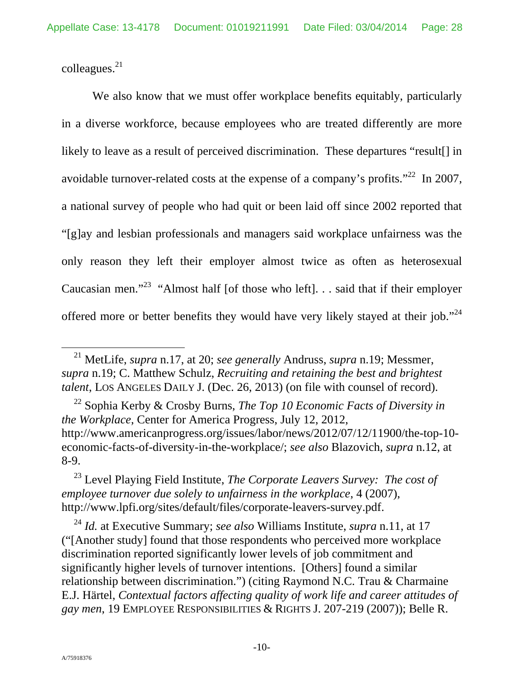colleagues.21

We also know that we must offer workplace benefits equitably, particularly in a diverse workforce, because employees who are treated differently are more likely to leave as a result of perceived discrimination. These departures "result[] in avoidable turnover-related costs at the expense of a company's profits."<sup>22</sup> In 2007, a national survey of people who had quit or been laid off since 2002 reported that "[g]ay and lesbian professionals and managers said workplace unfairness was the only reason they left their employer almost twice as often as heterosexual Caucasian men."23 "Almost half [of those who left]. . . said that if their employer offered more or better benefits they would have very likely stayed at their job."<sup>24</sup>

22 Sophia Kerby & Crosby Burns, *The Top 10 Economic Facts of Diversity in the Workplace*, Center for America Progress, July 12, 2012, http://www.americanprogress.org/issues/labor/news/2012/07/12/11900/the-top-10 economic-facts-of-diversity-in-the-workplace/; *see also* Blazovich, *supra* n.12, at 8-9.

23 Level Playing Field Institute, *The Corporate Leavers Survey: The cost of employee turnover due solely to unfairness in the workplace*, 4 (2007), http://www.lpfi.org/sites/default/files/corporate-leavers-survey.pdf.

<sup>24</sup> *Id.* at Executive Summary; *see also* Williams Institute, *supra* n.11, at 17 ("[Another study] found that those respondents who perceived more workplace discrimination reported significantly lower levels of job commitment and significantly higher levels of turnover intentions. [Others] found a similar relationship between discrimination.") (citing Raymond N.C. Trau & Charmaine E.J. Härtel, *Contextual factors affecting quality of work life and career attitudes of gay men*, 19 EMPLOYEE RESPONSIBILITIES & RIGHTS J. 207-219 (2007)); Belle R.

 <sup>21</sup> MetLife, *supra* n.17, at 20; *see generally* Andruss, *supra* n.19; Messmer, *supra* n.19; C. Matthew Schulz, *Recruiting and retaining the best and brightest talent*, LOS ANGELES DAILY J. (Dec. 26, 2013) (on file with counsel of record).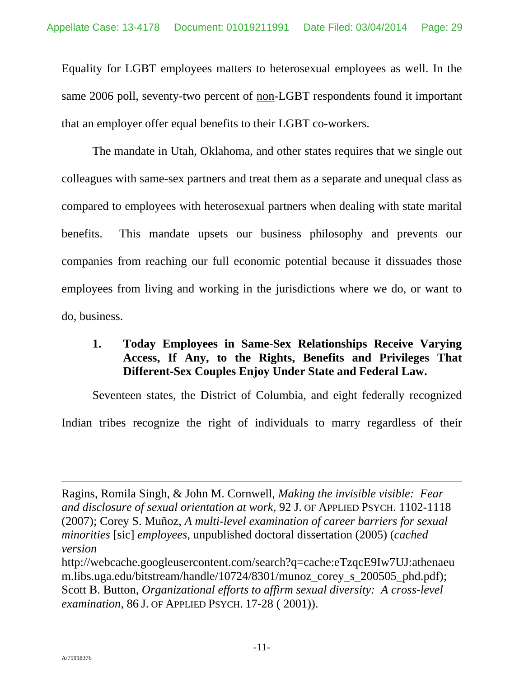Equality for LGBT employees matters to heterosexual employees as well. In the same 2006 poll, seventy-two percent of non-LGBT respondents found it important that an employer offer equal benefits to their LGBT co-workers.

The mandate in Utah, Oklahoma, and other states requires that we single out colleagues with same-sex partners and treat them as a separate and unequal class as compared to employees with heterosexual partners when dealing with state marital benefits. This mandate upsets our business philosophy and prevents our companies from reaching our full economic potential because it dissuades those employees from living and working in the jurisdictions where we do, or want to do, business.

# **1. Today Employees in Same-Sex Relationships Receive Varying Access, If Any, to the Rights, Benefits and Privileges That Different-Sex Couples Enjoy Under State and Federal Law.**

Seventeen states, the District of Columbia, and eight federally recognized Indian tribes recognize the right of individuals to marry regardless of their

Ragins, Romila Singh, & John M. Cornwell, *Making the invisible visible: Fear and disclosure of sexual orientation at work*, 92 J. OF APPLIED PSYCH. 1102-1118 (2007); Corey S. Muñoz, *A multi-level examination of career barriers for sexual minorities* [sic] *employees*, unpublished doctoral dissertation (2005) (*cached version* 

http://webcache.googleusercontent.com/search?q=cache:eTzqcE9Iw7UJ:athenaeu m.libs.uga.edu/bitstream/handle/10724/8301/munoz\_corey\_s\_200505\_phd.pdf); Scott B. Button, *Organizational efforts to affirm sexual diversity: A cross-level examination*, 86 J. OF APPLIED PSYCH. 17-28 ( 2001)).

 $\overline{a}$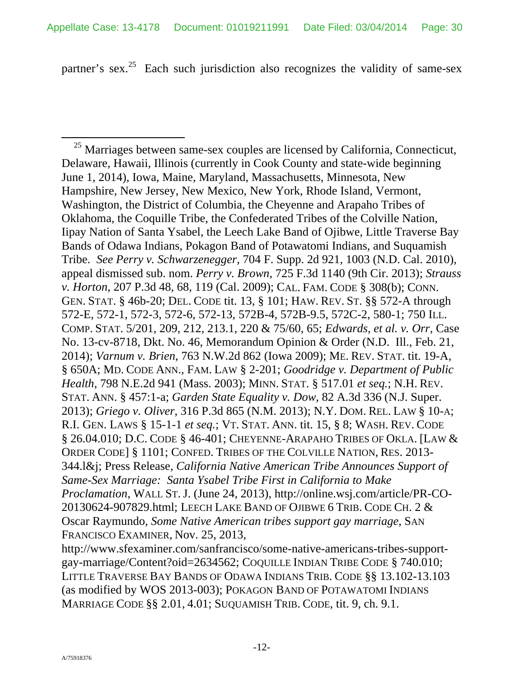partner's sex.<sup>25</sup> Each such jurisdiction also recognizes the validity of same-sex

 $25$  Marriages between same-sex couples are licensed by California, Connecticut, Delaware, Hawaii, Illinois (currently in Cook County and state-wide beginning June 1, 2014), Iowa, Maine, Maryland, Massachusetts, Minnesota, New Hampshire, New Jersey, New Mexico, New York, Rhode Island, Vermont, Washington, the District of Columbia, the Cheyenne and Arapaho Tribes of Oklahoma, the Coquille Tribe, the Confederated Tribes of the Colville Nation, Iipay Nation of Santa Ysabel, the Leech Lake Band of Ojibwe, Little Traverse Bay Bands of Odawa Indians, Pokagon Band of Potawatomi Indians, and Suquamish Tribe. *See Perry v. Schwarzenegger*, 704 F. Supp. 2d 921, 1003 (N.D. Cal. 2010), appeal dismissed sub. nom. *Perry v. Brown*, 725 F.3d 1140 (9th Cir. 2013); *Strauss v. Horton*, 207 P.3d 48, 68, 119 (Cal. 2009); CAL. FAM. CODE § 308(b); CONN. GEN. STAT. § 46b-20; DEL. CODE tit. 13, § 101; HAW. REV. ST. §§ 572-A through 572-E, 572-1, 572-3, 572-6, 572-13, 572B-4, 572B-9.5, 572C-2, 580-1; 750 ILL. COMP. STAT. 5/201, 209, 212, 213.1, 220 & 75/60, 65; *Edwards, et al. v. Orr*, Case No. 13-cv-8718, Dkt. No. 46, Memorandum Opinion & Order (N.D. Ill., Feb. 21, 2014); *Varnum v. Brien*, 763 N.W.2d 862 (Iowa 2009); ME. REV. STAT. tit. 19-A, § 650A; MD. CODE ANN., FAM. LAW § 2-201; *Goodridge v. Department of Public Health*, 798 N.E.2d 941 (Mass. 2003); MINN. STAT. § 517.01 *et seq.*; N.H. REV. STAT. ANN. § 457:1-a; *Garden State Equality v. Dow,* 82 A.3d 336 (N.J. Super. 2013); *Griego v. Oliver*, 316 P.3d 865 (N.M. 2013); N.Y. DOM. REL. LAW § 10-A; R.I. GEN. LAWS § 15-1-1 *et seq.*; VT. STAT. ANN. tit. 15, § 8; WASH. REV. CODE § 26.04.010; D.C. CODE § 46-401; CHEYENNE-ARAPAHO TRIBES OF OKLA. [LAW & ORDER CODE] § 1101; CONFED. TRIBES OF THE COLVILLE NATION, RES. 2013- 344.l&j; Press Release, *California Native American Tribe Announces Support of Same-Sex Marriage: Santa Ysabel Tribe First in California to Make Proclamation*, WALL ST. J. (June 24, 2013), http://online.wsj.com/article/PR-CO-20130624-907829.html; LEECH LAKE BAND OF OJIBWE 6 TRIB. CODE CH. 2 & Oscar Raymundo, *Some Native American tribes support gay marriage*, SAN FRANCISCO EXAMINER, Nov. 25, 2013,

http://www.sfexaminer.com/sanfrancisco/some-native-americans-tribes-supportgay-marriage/Content?oid=2634562; COQUILLE INDIAN TRIBE CODE § 740.010; LITTLE TRAVERSE BAY BANDS OF ODAWA INDIANS TRIB. CODE §§ 13.102-13.103 (as modified by WOS 2013-003); POKAGON BAND OF POTAWATOMI INDIANS MARRIAGE CODE §§ 2.01, 4.01; SUQUAMISH TRIB. CODE, tit. 9, ch. 9.1.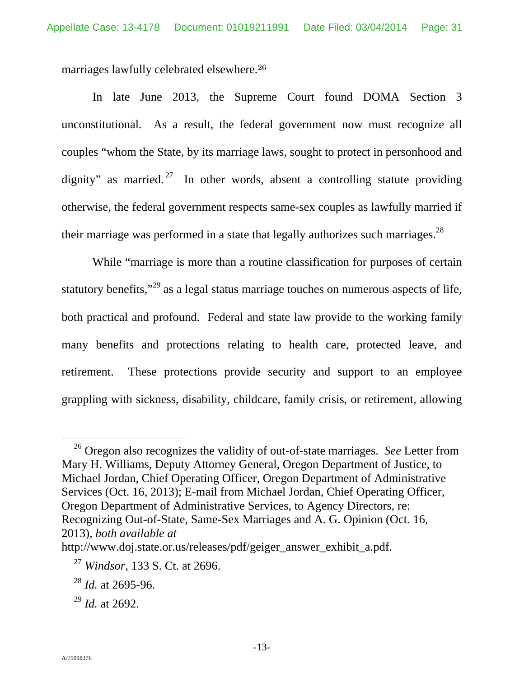marriages lawfully celebrated elsewhere.<sup>26</sup>

In late June 2013, the Supreme Court found DOMA Section 3 unconstitutional. As a result, the federal government now must recognize all couples "whom the State, by its marriage laws, sought to protect in personhood and dignity" as married.<sup>27</sup> In other words, absent a controlling statute providing otherwise, the federal government respects same-sex couples as lawfully married if their marriage was performed in a state that legally authorizes such marriages.<sup>28</sup>

While "marriage is more than a routine classification for purposes of certain statutory benefits,"<sup>29</sup> as a legal status marriage touches on numerous aspects of life, both practical and profound. Federal and state law provide to the working family many benefits and protections relating to health care, protected leave, and retirement. These protections provide security and support to an employee grappling with sickness, disability, childcare, family crisis, or retirement, allowing

 <sup>26</sup> Oregon also recognizes the validity of out-of-state marriages. *See* Letter from Mary H. Williams, Deputy Attorney General, Oregon Department of Justice, to Michael Jordan, Chief Operating Officer, Oregon Department of Administrative Services (Oct. 16, 2013); E-mail from Michael Jordan, Chief Operating Officer, Oregon Department of Administrative Services, to Agency Directors, re: Recognizing Out-of-State, Same-Sex Marriages and A. G. Opinion (Oct. 16, 2013), *both available at* 

http://www.doj.state.or.us/releases/pdf/geiger\_answer\_exhibit\_a.pdf.

<sup>27</sup> *Windsor*, 133 S. Ct. at 2696.

<sup>28</sup> *Id.* at 2695-96.

<sup>29</sup> *Id.* at 2692.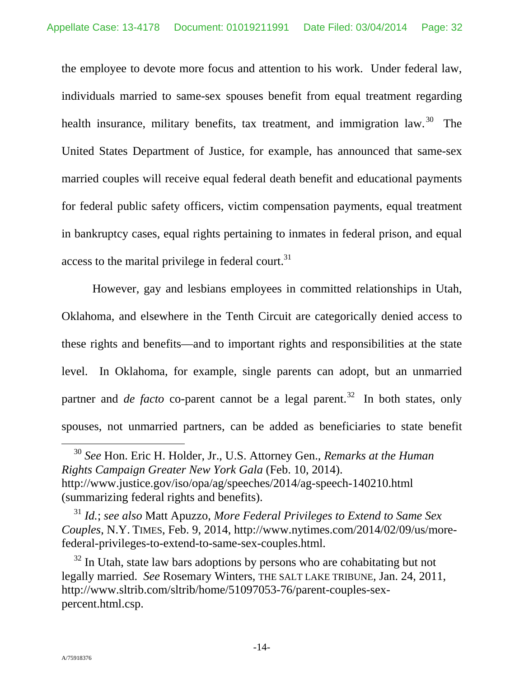the employee to devote more focus and attention to his work. Under federal law, individuals married to same-sex spouses benefit from equal treatment regarding health insurance, military benefits, tax treatment, and immigration law.  $30$  The United States Department of Justice, for example, has announced that same-sex married couples will receive equal federal death benefit and educational payments for federal public safety officers, victim compensation payments, equal treatment in bankruptcy cases, equal rights pertaining to inmates in federal prison, and equal access to the marital privilege in federal court. $31$ 

However, gay and lesbians employees in committed relationships in Utah, Oklahoma, and elsewhere in the Tenth Circuit are categorically denied access to these rights and benefits—and to important rights and responsibilities at the state level. In Oklahoma, for example, single parents can adopt, but an unmarried partner and *de facto* co-parent cannot be a legal parent.<sup>32</sup> In both states, only spouses, not unmarried partners, can be added as beneficiaries to state benefit

 <sup>30</sup> *See* Hon. Eric H. Holder, Jr., U.S. Attorney Gen., *Remarks at the Human Rights Campaign Greater New York Gala* (Feb. 10, 2014). http://www.justice.gov/iso/opa/ag/speeches/2014/ag-speech-140210.html (summarizing federal rights and benefits).

<sup>31</sup> *Id.*; *see also* Matt Apuzzo, *More Federal Privileges to Extend to Same Sex Couples*, N.Y. TIMES, Feb. 9, 2014, http://www.nytimes.com/2014/02/09/us/morefederal-privileges-to-extend-to-same-sex-couples.html.

 $32$  In Utah, state law bars adoptions by persons who are cohabitating but not legally married. *See* Rosemary Winters, THE SALT LAKE TRIBUNE, Jan. 24, 2011, http://www.sltrib.com/sltrib/home/51097053-76/parent-couples-sexpercent.html.csp.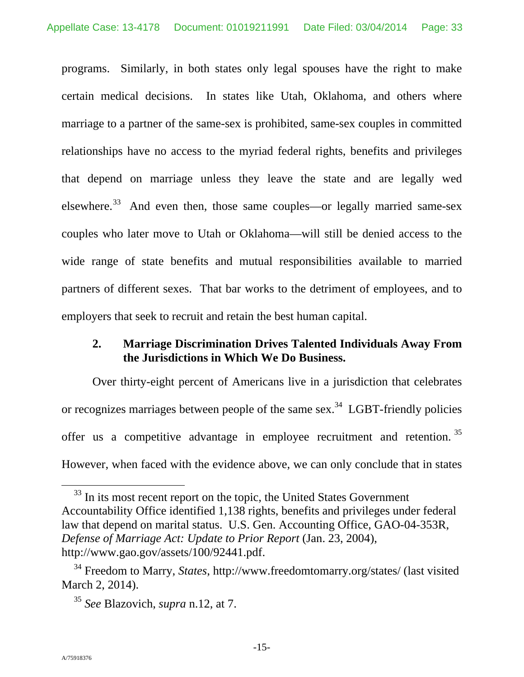programs. Similarly, in both states only legal spouses have the right to make certain medical decisions. In states like Utah, Oklahoma, and others where marriage to a partner of the same-sex is prohibited, same-sex couples in committed relationships have no access to the myriad federal rights, benefits and privileges that depend on marriage unless they leave the state and are legally wed elsewhere.<sup>33</sup> And even then, those same couples—or legally married same-sex couples who later move to Utah or Oklahoma—will still be denied access to the wide range of state benefits and mutual responsibilities available to married partners of different sexes. That bar works to the detriment of employees, and to employers that seek to recruit and retain the best human capital.

## **2. Marriage Discrimination Drives Talented Individuals Away From the Jurisdictions in Which We Do Business.**

Over thirty-eight percent of Americans live in a jurisdiction that celebrates or recognizes marriages between people of the same sex.<sup>34</sup> LGBT-friendly policies offer us a competitive advantage in employee recruitment and retention.<sup>35</sup> However, when faced with the evidence above, we can only conclude that in states

<sup>&</sup>lt;sup>33</sup> In its most recent report on the topic, the United States Government Accountability Office identified 1,138 rights, benefits and privileges under federal law that depend on marital status. U.S. Gen. Accounting Office, GAO-04-353R, *Defense of Marriage Act: Update to Prior Report* (Jan. 23, 2004), http://www.gao.gov/assets/100/92441.pdf.

<sup>34</sup> Freedom to Marry, *States*, http://www.freedomtomarry.org/states/ (last visited March 2, 2014).

<sup>35</sup> *See* Blazovich, *supra* n.12, at 7.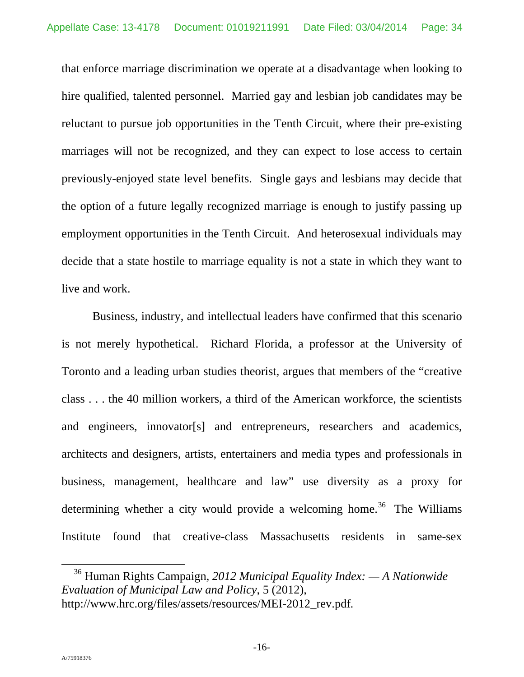that enforce marriage discrimination we operate at a disadvantage when looking to hire qualified, talented personnel. Married gay and lesbian job candidates may be reluctant to pursue job opportunities in the Tenth Circuit, where their pre-existing marriages will not be recognized, and they can expect to lose access to certain previously-enjoyed state level benefits. Single gays and lesbians may decide that the option of a future legally recognized marriage is enough to justify passing up employment opportunities in the Tenth Circuit. And heterosexual individuals may decide that a state hostile to marriage equality is not a state in which they want to live and work.

Business, industry, and intellectual leaders have confirmed that this scenario is not merely hypothetical. Richard Florida, a professor at the University of Toronto and a leading urban studies theorist, argues that members of the "creative class . . . the 40 million workers, a third of the American workforce, the scientists and engineers, innovator[s] and entrepreneurs, researchers and academics, architects and designers, artists, entertainers and media types and professionals in business, management, healthcare and law" use diversity as a proxy for determining whether a city would provide a welcoming home.<sup>36</sup> The Williams Institute found that creative-class Massachusetts residents in same-sex

 <sup>36</sup> Human Rights Campaign, *2012 Municipal Equality Index: — A Nationwide Evaluation of Municipal Law and Policy*, 5 (2012), http://www.hrc.org/files/assets/resources/MEI-2012\_rev.pdf*.*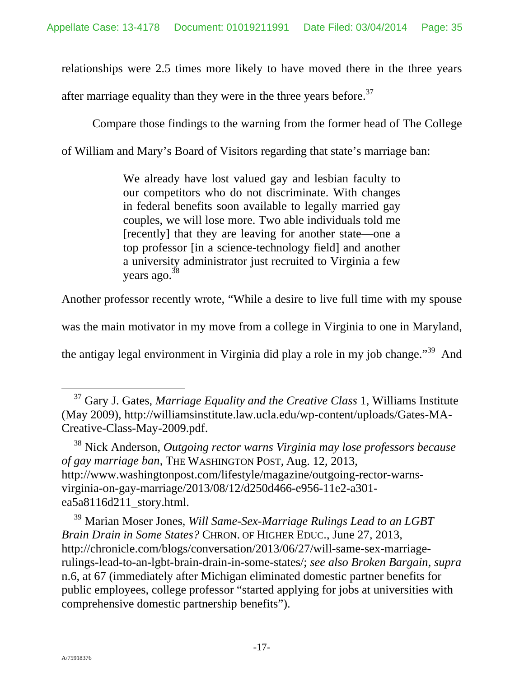relationships were 2.5 times more likely to have moved there in the three years

after marriage equality than they were in the three years before.<sup>37</sup>

Compare those findings to the warning from the former head of The College

of William and Mary's Board of Visitors regarding that state's marriage ban:

We already have lost valued gay and lesbian faculty to our competitors who do not discriminate. With changes in federal benefits soon available to legally married gay couples, we will lose more. Two able individuals told me [recently] that they are leaving for another state—one a top professor [in a science-technology field] and another a university administrator just recruited to Virginia a few years ago. $38$ 

Another professor recently wrote, "While a desire to live full time with my spouse

was the main motivator in my move from a college in Virginia to one in Maryland,

the antigay legal environment in Virginia did play a role in my job change."39 And

38 Nick Anderson, *Outgoing rector warns Virginia may lose professors because of gay marriage ban*, THE WASHINGTON POST, Aug. 12, 2013, http://www.washingtonpost.com/lifestyle/magazine/outgoing-rector-warnsvirginia-on-gay-marriage/2013/08/12/d250d466-e956-11e2-a301 ea5a8116d211\_story.html.

39 Marian Moser Jones, *Will Same-Sex-Marriage Rulings Lead to an LGBT Brain Drain in Some States?* CHRON. OF HIGHER EDUC., June 27, 2013, http://chronicle.com/blogs/conversation/2013/06/27/will-same-sex-marriagerulings-lead-to-an-lgbt-brain-drain-in-some-states/; *see also Broken Bargain*, *supra*  n.6, at 67 (immediately after Michigan eliminated domestic partner benefits for public employees, college professor "started applying for jobs at universities with comprehensive domestic partnership benefits").

 <sup>37</sup> Gary J. Gates, *Marriage Equality and the Creative Class* 1, Williams Institute (May 2009), http://williamsinstitute.law.ucla.edu/wp-content/uploads/Gates-MA-Creative-Class-May-2009.pdf.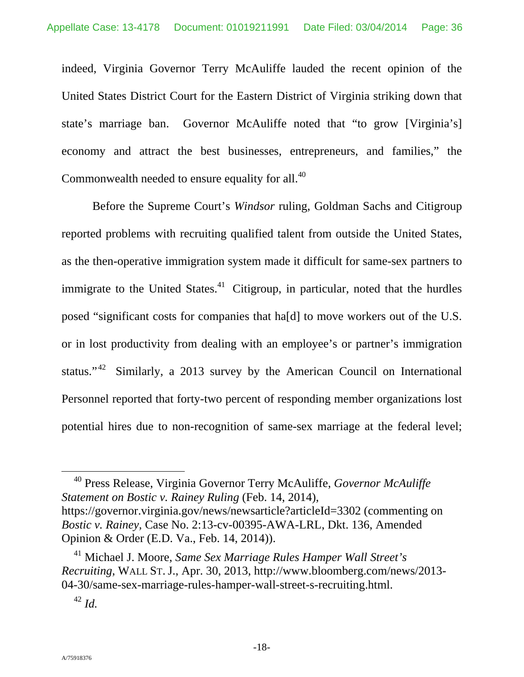indeed, Virginia Governor Terry McAuliffe lauded the recent opinion of the United States District Court for the Eastern District of Virginia striking down that state's marriage ban. Governor McAuliffe noted that "to grow [Virginia's] economy and attract the best businesses, entrepreneurs, and families," the Commonwealth needed to ensure equality for all.<sup>40</sup>

Before the Supreme Court's *Windsor* ruling, Goldman Sachs and Citigroup reported problems with recruiting qualified talent from outside the United States, as the then-operative immigration system made it difficult for same-sex partners to immigrate to the United States. $41$  Citigroup, in particular, noted that the hurdles posed "significant costs for companies that ha[d] to move workers out of the U.S. or in lost productivity from dealing with an employee's or partner's immigration status."<sup>42</sup> Similarly, a 2013 survey by the American Council on International Personnel reported that forty-two percent of responding member organizations lost potential hires due to non-recognition of same-sex marriage at the federal level;

 40 Press Release, Virginia Governor Terry McAuliffe, *Governor McAuliffe Statement on Bostic v. Rainey Ruling* (Feb. 14, 2014), https://governor.virginia.gov/news/newsarticle?articleId=3302 (commenting on *Bostic v. Rainey,* Case No. 2:13-cv-00395-AWA-LRL, Dkt. 136, Amended Opinion & Order (E.D. Va., Feb. 14, 2014)).

<sup>41</sup> Michael J. Moore, *Same Sex Marriage Rules Hamper Wall Street's Recruiting*, WALL ST. J., Apr. 30, 2013, http://www.bloomberg.com/news/2013- 04-30/same-sex-marriage-rules-hamper-wall-street-s-recruiting.html.

<sup>42</sup> *Id.*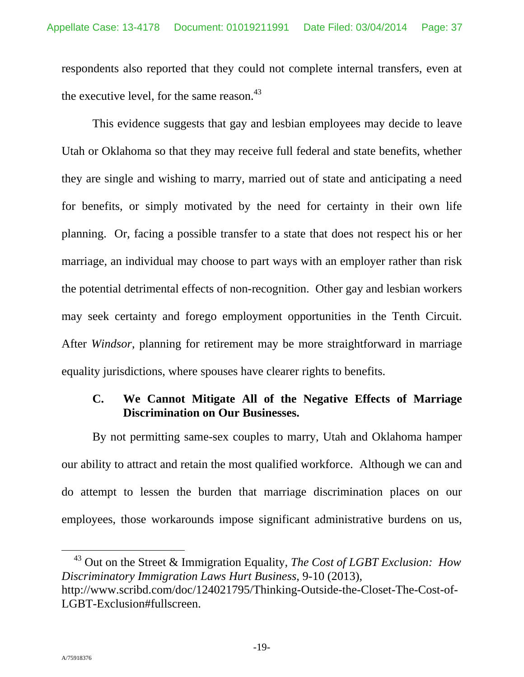respondents also reported that they could not complete internal transfers, even at the executive level, for the same reason. $43$ 

This evidence suggests that gay and lesbian employees may decide to leave Utah or Oklahoma so that they may receive full federal and state benefits, whether they are single and wishing to marry, married out of state and anticipating a need for benefits, or simply motivated by the need for certainty in their own life planning. Or, facing a possible transfer to a state that does not respect his or her marriage, an individual may choose to part ways with an employer rather than risk the potential detrimental effects of non-recognition. Other gay and lesbian workers may seek certainty and forego employment opportunities in the Tenth Circuit. After *Windsor*, planning for retirement may be more straightforward in marriage equality jurisdictions, where spouses have clearer rights to benefits.

# **C. We Cannot Mitigate All of the Negative Effects of Marriage Discrimination on Our Businesses.**

By not permitting same-sex couples to marry, Utah and Oklahoma hamper our ability to attract and retain the most qualified workforce. Although we can and do attempt to lessen the burden that marriage discrimination places on our employees, those workarounds impose significant administrative burdens on us,

 <sup>43</sup> Out on the Street & Immigration Equality, *The Cost of LGBT Exclusion: How Discriminatory Immigration Laws Hurt Business*, 9-10 (2013), http://www.scribd.com/doc/124021795/Thinking-Outside-the-Closet-The-Cost-of-LGBT-Exclusion#fullscreen.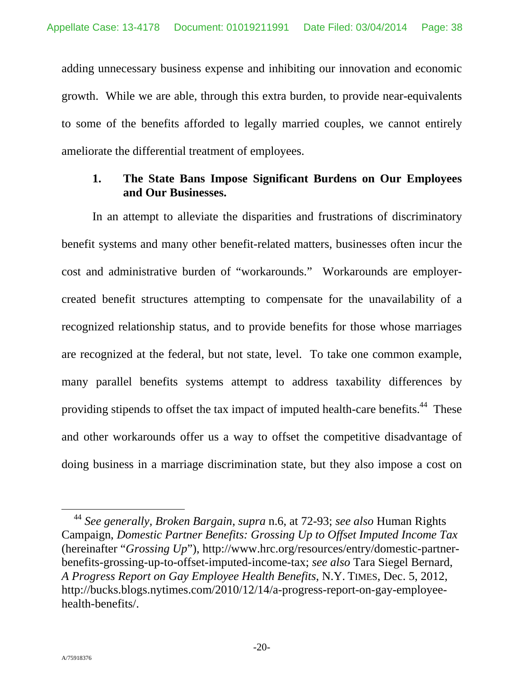adding unnecessary business expense and inhibiting our innovation and economic growth. While we are able, through this extra burden, to provide near-equivalents to some of the benefits afforded to legally married couples, we cannot entirely ameliorate the differential treatment of employees.

# **1. The State Bans Impose Significant Burdens on Our Employees and Our Businesses.**

In an attempt to alleviate the disparities and frustrations of discriminatory benefit systems and many other benefit-related matters, businesses often incur the cost and administrative burden of "workarounds." Workarounds are employercreated benefit structures attempting to compensate for the unavailability of a recognized relationship status, and to provide benefits for those whose marriages are recognized at the federal, but not state, level. To take one common example, many parallel benefits systems attempt to address taxability differences by providing stipends to offset the tax impact of imputed health-care benefits.<sup>44</sup> These and other workarounds offer us a way to offset the competitive disadvantage of doing business in a marriage discrimination state, but they also impose a cost on

 <sup>44</sup> *See generally, Broken Bargain*, *supra* n.6, at 72-93; *see also* Human Rights Campaign, *Domestic Partner Benefits: Grossing Up to Offset Imputed Income Tax* (hereinafter "*Grossing Up*"), http://www.hrc.org/resources/entry/domestic-partnerbenefits-grossing-up-to-offset-imputed-income-tax; *see also* Tara Siegel Bernard, *A Progress Report on Gay Employee Health Benefits*, N.Y. TIMES, Dec. 5, 2012, http://bucks.blogs.nytimes.com/2010/12/14/a-progress-report-on-gay-employeehealth-benefits/.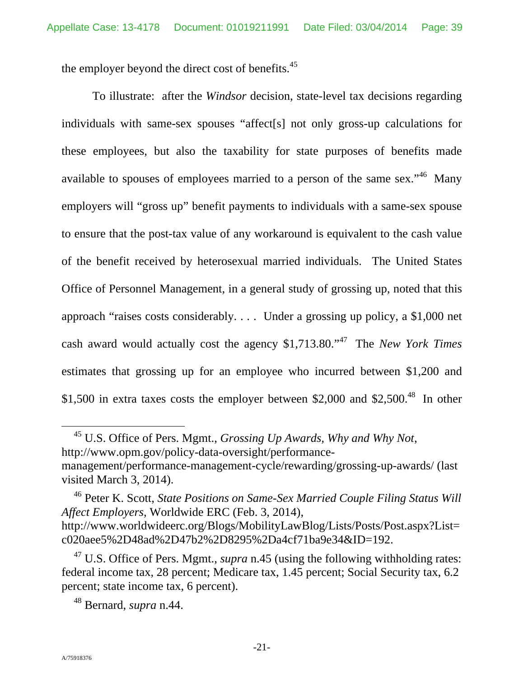the employer beyond the direct cost of benefits.<sup>45</sup>

To illustrate: after the *Windsor* decision, state-level tax decisions regarding individuals with same-sex spouses "affect[s] not only gross-up calculations for these employees, but also the taxability for state purposes of benefits made available to spouses of employees married to a person of the same sex."<sup>46</sup> Many employers will "gross up" benefit payments to individuals with a same-sex spouse to ensure that the post-tax value of any workaround is equivalent to the cash value of the benefit received by heterosexual married individuals. The United States Office of Personnel Management, in a general study of grossing up, noted that this approach "raises costs considerably. . . . Under a grossing up policy, a \$1,000 net cash award would actually cost the agency \$1,713.80."47 The *New York Times* estimates that grossing up for an employee who incurred between \$1,200 and \$1,500 in extra taxes costs the employer between \$2,000 and \$2,500.<sup>48</sup> In other

 45 U.S. Office of Pers. Mgmt., *Grossing Up Awards, Why and Why Not*, http://www.opm.gov/policy-data-oversight/performancemanagement/performance-management-cycle/rewarding/grossing-up-awards/ (last visited March 3, 2014).

46 Peter K. Scott, *State Positions on Same-Sex Married Couple Filing Status Will Affect Employers*, Worldwide ERC (Feb. 3, 2014), http://www.worldwideerc.org/Blogs/MobilityLawBlog/Lists/Posts/Post.aspx?List= c020aee5%2D48ad%2D47b2%2D8295%2Da4cf71ba9e34&ID=192.

<sup>47</sup> U.S. Office of Pers. Mgmt., *supra* n.45 (using the following withholding rates: federal income tax, 28 percent; Medicare tax, 1.45 percent; Social Security tax, 6.2 percent; state income tax, 6 percent).

<sup>48</sup> Bernard, *supra* n.44.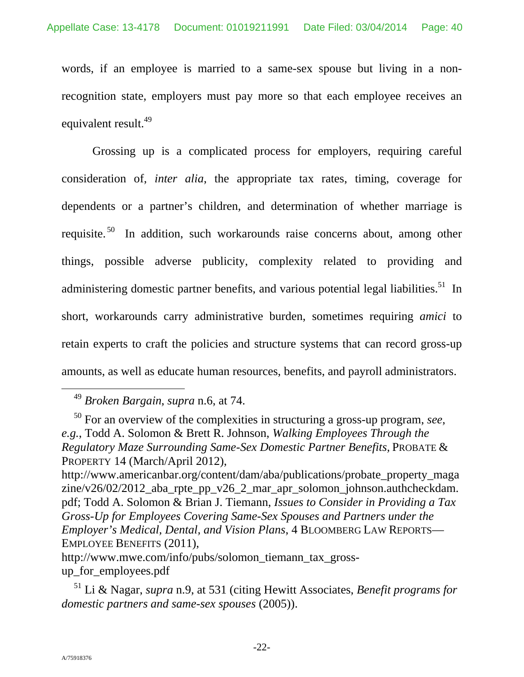words, if an employee is married to a same-sex spouse but living in a nonrecognition state, employers must pay more so that each employee receives an equivalent result.<sup>49</sup>

Grossing up is a complicated process for employers, requiring careful consideration of, *inter alia*, the appropriate tax rates, timing, coverage for dependents or a partner's children, and determination of whether marriage is requisite.<sup>50</sup> In addition, such workarounds raise concerns about, among other things, possible adverse publicity, complexity related to providing and administering domestic partner benefits, and various potential legal liabilities.<sup>51</sup> In short, workarounds carry administrative burden, sometimes requiring *amici* to retain experts to craft the policies and structure systems that can record gross-up amounts, as well as educate human resources, benefits, and payroll administrators.

 <sup>49</sup> *Broken Bargain*, *supra* n.6, at 74.

<sup>50</sup> For an overview of the complexities in structuring a gross-up program, *see*, *e.g.*, Todd A. Solomon & Brett R. Johnson, *Walking Employees Through the Regulatory Maze Surrounding Same-Sex Domestic Partner Benefits,* PROBATE & PROPERTY 14 (March/April 2012),

http://www.americanbar.org/content/dam/aba/publications/probate\_property\_maga zine/v26/02/2012\_aba\_rpte\_pp\_v26\_2\_mar\_apr\_solomon\_johnson.authcheckdam. pdf; Todd A. Solomon & Brian J. Tiemann, *Issues to Consider in Providing a Tax Gross-Up for Employees Covering Same-Sex Spouses and Partners under the Employer's Medical, Dental, and Vision Plans*, 4 BLOOMBERG LAW REPORTS— EMPLOYEE BENEFITS (2011),

http://www.mwe.com/info/pubs/solomon\_tiemann\_tax\_grossup\_for\_employees.pdf

<sup>51</sup> Li & Nagar, *supra* n.9, at 531 (citing Hewitt Associates, *Benefit programs for domestic partners and same-sex spouses* (2005)).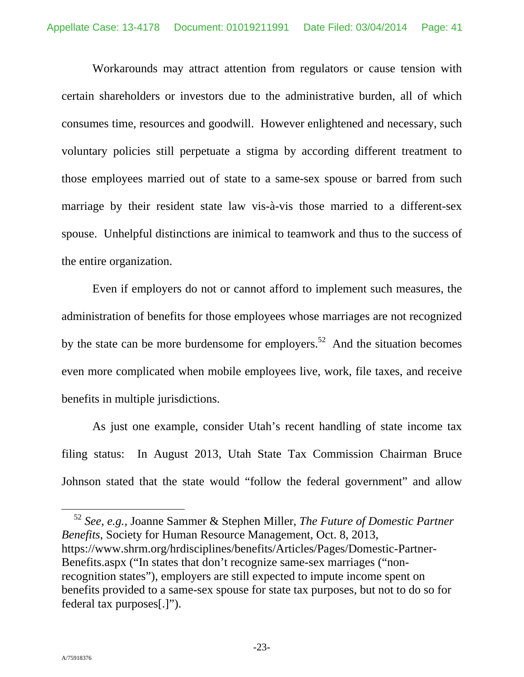Workarounds may attract attention from regulators or cause tension with certain shareholders or investors due to the administrative burden, all of which consumes time, resources and goodwill. However enlightened and necessary, such voluntary policies still perpetuate a stigma by according different treatment to those employees married out of state to a same-sex spouse or barred from such marriage by their resident state law vis-à-vis those married to a different-sex spouse. Unhelpful distinctions are inimical to teamwork and thus to the success of the entire organization.

Even if employers do not or cannot afford to implement such measures, the administration of benefits for those employees whose marriages are not recognized by the state can be more burdensome for employers.<sup>52</sup> And the situation becomes even more complicated when mobile employees live, work, file taxes, and receive benefits in multiple jurisdictions.

As just one example, consider Utah's recent handling of state income tax filing status: In August 2013, Utah State Tax Commission Chairman Bruce Johnson stated that the state would "follow the federal government" and allow

 52 *See, e.g.,* Joanne Sammer & Stephen Miller, *The Future of Domestic Partner Benefits*, Society for Human Resource Management, Oct. 8, 2013, https://www.shrm.org/hrdisciplines/benefits/Articles/Pages/Domestic-Partner-Benefits.aspx ("In states that don't recognize same-sex marriages ("nonrecognition states"), employers are still expected to impute income spent on benefits provided to a same-sex spouse for state tax purposes, but not to do so for federal tax purposes[.]").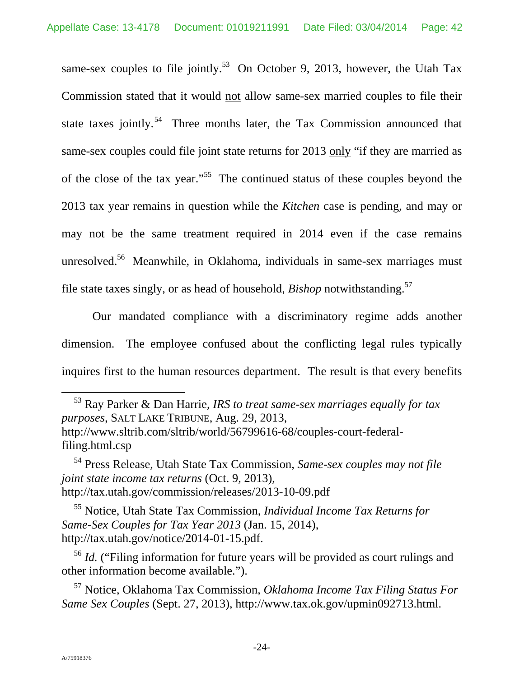same-sex couples to file jointly.<sup>53</sup> On October 9, 2013, however, the Utah Tax Commission stated that it would not allow same-sex married couples to file their state taxes jointly.<sup>54</sup> Three months later, the Tax Commission announced that same-sex couples could file joint state returns for 2013 only "if they are married as of the close of the tax year."55 The continued status of these couples beyond the 2013 tax year remains in question while the *Kitchen* case is pending, and may or may not be the same treatment required in 2014 even if the case remains unresolved.<sup>56</sup> Meanwhile, in Oklahoma, individuals in same-sex marriages must file state taxes singly, or as head of household, *Bishop* notwithstanding.57

Our mandated compliance with a discriminatory regime adds another dimension. The employee confused about the conflicting legal rules typically inquires first to the human resources department. The result is that every benefits

 53 Ray Parker & Dan Harrie*, IRS to treat same-sex marriages equally for tax purposes*, SALT LAKE TRIBUNE, Aug. 29, 2013, http://www.sltrib.com/sltrib/world/56799616-68/couples-court-federalfiling.html.csp

57 Notice, Oklahoma Tax Commission, *Oklahoma Income Tax Filing Status For Same Sex Couples* (Sept. 27, 2013), http://www.tax.ok.gov/upmin092713.html.

<sup>54</sup> Press Release, Utah State Tax Commission, *Same-sex couples may not file joint state income tax returns* (Oct. 9, 2013), http://tax.utah.gov/commission/releases/2013-10-09.pdf

<sup>55</sup> Notice, Utah State Tax Commission, *Individual Income Tax Returns for Same-Sex Couples for Tax Year 2013* (Jan. 15, 2014), http://tax.utah.gov/notice/2014-01-15.pdf.

<sup>&</sup>lt;sup>56</sup> *Id.* ("Filing information for future years will be provided as court rulings and other information become available.").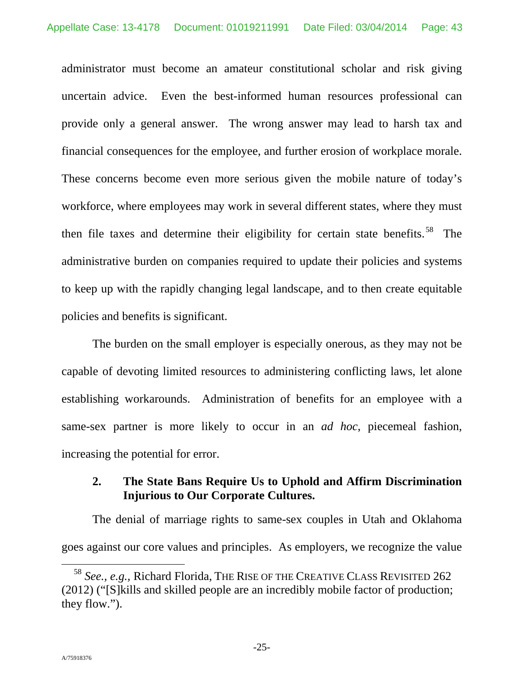administrator must become an amateur constitutional scholar and risk giving uncertain advice. Even the best-informed human resources professional can provide only a general answer. The wrong answer may lead to harsh tax and financial consequences for the employee, and further erosion of workplace morale. These concerns become even more serious given the mobile nature of today's workforce, where employees may work in several different states, where they must then file taxes and determine their eligibility for certain state benefits.<sup>58</sup> The administrative burden on companies required to update their policies and systems to keep up with the rapidly changing legal landscape, and to then create equitable policies and benefits is significant.

The burden on the small employer is especially onerous, as they may not be capable of devoting limited resources to administering conflicting laws, let alone establishing workarounds. Administration of benefits for an employee with a same-sex partner is more likely to occur in an *ad hoc*, piecemeal fashion, increasing the potential for error.

# **2. The State Bans Require Us to Uphold and Affirm Discrimination Injurious to Our Corporate Cultures.**

The denial of marriage rights to same-sex couples in Utah and Oklahoma goes against our core values and principles. As employers, we recognize the value

 <sup>58</sup> *See., e.g.,* Richard Florida, THE RISE OF THE CREATIVE CLASS REVISITED 262 (2012) ("[S]kills and skilled people are an incredibly mobile factor of production; they flow.").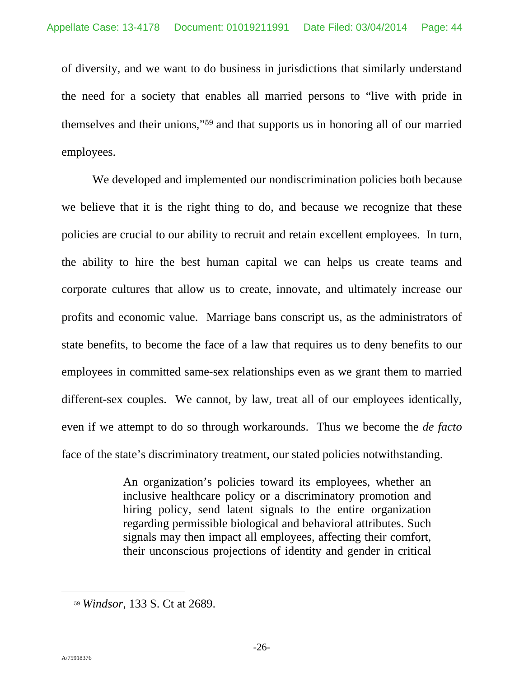of diversity, and we want to do business in jurisdictions that similarly understand the need for a society that enables all married persons to "live with pride in themselves and their unions,"59 and that supports us in honoring all of our married employees.

We developed and implemented our nondiscrimination policies both because we believe that it is the right thing to do, and because we recognize that these policies are crucial to our ability to recruit and retain excellent employees. In turn, the ability to hire the best human capital we can helps us create teams and corporate cultures that allow us to create, innovate, and ultimately increase our profits and economic value. Marriage bans conscript us, as the administrators of state benefits, to become the face of a law that requires us to deny benefits to our employees in committed same-sex relationships even as we grant them to married different-sex couples. We cannot, by law, treat all of our employees identically, even if we attempt to do so through workarounds. Thus we become the *de facto*  face of the state's discriminatory treatment, our stated policies notwithstanding.

> An organization's policies toward its employees, whether an inclusive healthcare policy or a discriminatory promotion and hiring policy, send latent signals to the entire organization regarding permissible biological and behavioral attributes. Such signals may then impact all employees, affecting their comfort, their unconscious projections of identity and gender in critical

 $\overline{a}$ 

<sup>59</sup> *Windsor,* 133 S. Ct at 2689.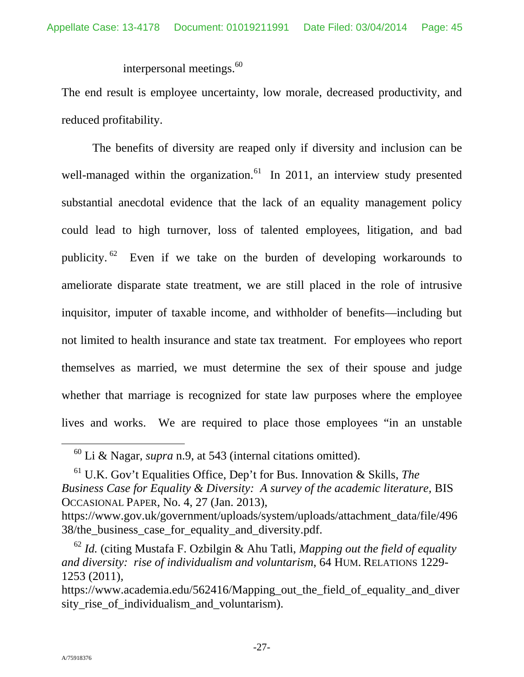interpersonal meetings.<sup>60</sup>

The end result is employee uncertainty, low morale, decreased productivity, and reduced profitability.

The benefits of diversity are reaped only if diversity and inclusion can be well-managed within the organization.<sup>61</sup> In 2011, an interview study presented substantial anecdotal evidence that the lack of an equality management policy could lead to high turnover, loss of talented employees, litigation, and bad publicity.  $62$  Even if we take on the burden of developing workarounds to ameliorate disparate state treatment, we are still placed in the role of intrusive inquisitor, imputer of taxable income, and withholder of benefits—including but not limited to health insurance and state tax treatment. For employees who report themselves as married, we must determine the sex of their spouse and judge whether that marriage is recognized for state law purposes where the employee lives and works. We are required to place those employees "in an unstable

 <sup>60</sup> Li & Nagar, *supra* n.9, at 543 (internal citations omitted).

<sup>61</sup> U.K. Gov't Equalities Office, Dep't for Bus. Innovation & Skills, *The Business Case for Equality & Diversity: A survey of the academic literature, BIS* OCCASIONAL PAPER, No. 4, 27 (Jan. 2013),

https://www.gov.uk/government/uploads/system/uploads/attachment\_data/file/496 38/the\_business\_case\_for\_equality\_and\_diversity.pdf.

<sup>62</sup> *Id.* (citing Mustafa F. Ozbilgin & Ahu Tatli, *Mapping out the field of equality and diversity: rise of individualism and voluntarism*, 64 HUM. RELATIONS 1229- 1253 (2011)*,* 

https://www.academia.edu/562416/Mapping\_out\_the\_field\_of\_equality\_and\_diver sity rise of individualism and voluntarism).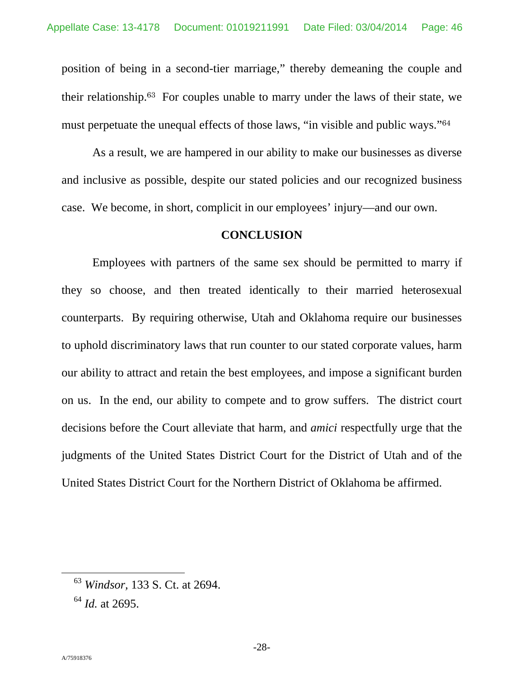position of being in a second-tier marriage," thereby demeaning the couple and their relationship.63 For couples unable to marry under the laws of their state, we must perpetuate the unequal effects of those laws, "in visible and public ways."<sup>64</sup>

As a result, we are hampered in our ability to make our businesses as diverse and inclusive as possible, despite our stated policies and our recognized business case. We become, in short, complicit in our employees' injury—and our own.

### **CONCLUSION**

Employees with partners of the same sex should be permitted to marry if they so choose, and then treated identically to their married heterosexual counterparts. By requiring otherwise, Utah and Oklahoma require our businesses to uphold discriminatory laws that run counter to our stated corporate values, harm our ability to attract and retain the best employees, and impose a significant burden on us. In the end, our ability to compete and to grow suffers. The district court decisions before the Court alleviate that harm, and *amici* respectfully urge that the judgments of the United States District Court for the District of Utah and of the United States District Court for the Northern District of Oklahoma be affirmed.

 <sup>63</sup> *Windsor,* 133 S. Ct. at 2694.

<sup>64</sup> *Id.* at 2695.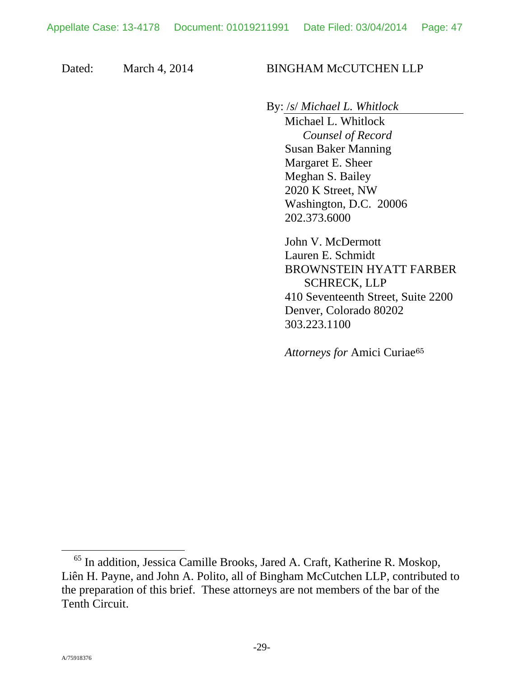Dated: March 4, 2014 BINGHAM McCUTCHEN LLP

By: /*s*/ *Michael L. Whitlock*

Michael L. Whitlock  *Counsel of Record*  Susan Baker Manning Margaret E. Sheer Meghan S. Bailey 2020 K Street, NW Washington, D.C. 20006 202.373.6000

John V. McDermott Lauren E. Schmidt BROWNSTEIN HYATT FARBER SCHRECK, LLP 410 Seventeenth Street, Suite 2200 Denver, Colorado 80202 303.223.1100

*Attorneys for* Amici Curiae<sup>65</sup>

 <sup>65</sup> In addition, Jessica Camille Brooks, Jared A. Craft, Katherine R. Moskop, Liên H. Payne, and John A. Polito, all of Bingham McCutchen LLP, contributed to the preparation of this brief. These attorneys are not members of the bar of the Tenth Circuit.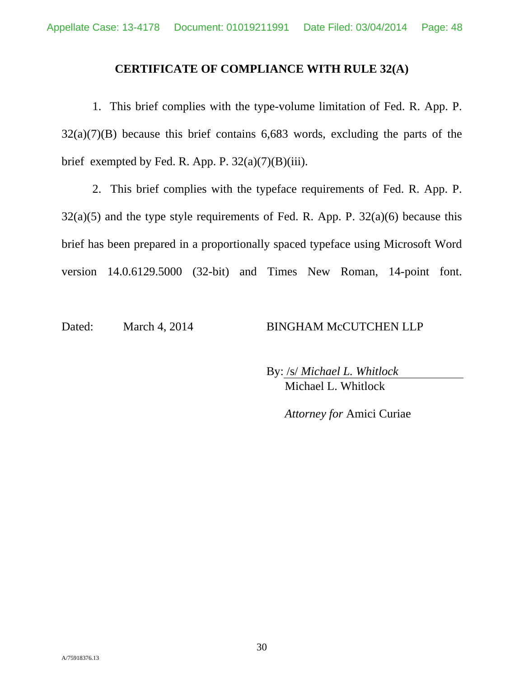### **CERTIFICATE OF COMPLIANCE WITH RULE 32(A)**

1. This brief complies with the type-volume limitation of Fed. R. App. P.  $32(a)(7)(B)$  because this brief contains 6,683 words, excluding the parts of the brief exempted by Fed. R. App. P.  $32(a)(7)(B)(iii)$ .

2. This brief complies with the typeface requirements of Fed. R. App. P.  $32(a)(5)$  and the type style requirements of Fed. R. App. P.  $32(a)(6)$  because this brief has been prepared in a proportionally spaced typeface using Microsoft Word version 14.0.6129.5000 (32-bit) and Times New Roman, 14-point font.

Dated: March 4, 2014 BINGHAM McCUTCHEN LLP

By: /s/ *Michael L. Whitlock*  Michael L. Whitlock

*Attorney for* Amici Curiae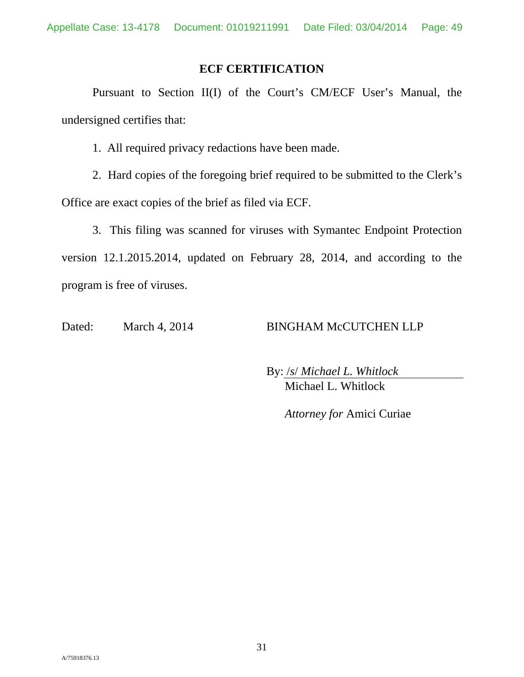### **ECF CERTIFICATION**

Pursuant to Section II(I) of the Court's CM/ECF User's Manual, the undersigned certifies that:

1. All required privacy redactions have been made.

2. Hard copies of the foregoing brief required to be submitted to the Clerk's Office are exact copies of the brief as filed via ECF.

3. This filing was scanned for viruses with Symantec Endpoint Protection version 12.1.2015.2014, updated on February 28, 2014, and according to the program is free of viruses.

Dated: March 4, 2014 BINGHAM McCUTCHEN LLP

By: /*s*/ *Michael L. Whitlock*  Michael L. Whitlock

*Attorney for* Amici Curiae